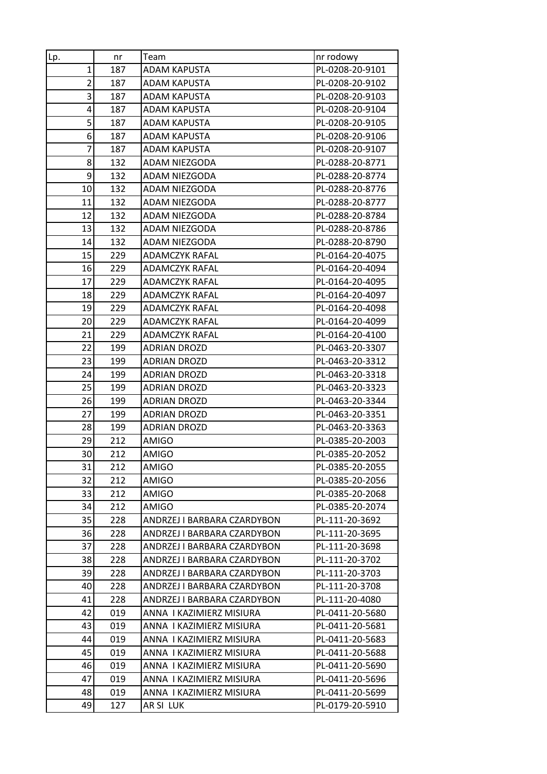| Lp.            | nr         | Team                         | nr rodowy                          |
|----------------|------------|------------------------------|------------------------------------|
| $\mathbf{1}$   | 187        | <b>ADAM KAPUSTA</b>          | PL-0208-20-9101                    |
| $\overline{c}$ | 187        | ADAM KAPUSTA                 | PL-0208-20-9102                    |
| 3              | 187        | <b>ADAM KAPUSTA</b>          | PL-0208-20-9103                    |
| 4              | 187        | ADAM KAPUSTA                 | PL-0208-20-9104                    |
| 5              | 187        | <b>ADAM KAPUSTA</b>          | PL-0208-20-9105                    |
| 6              | 187        | <b>ADAM KAPUSTA</b>          | PL-0208-20-9106                    |
| 7              | 187        | ADAM KAPUSTA                 | PL-0208-20-9107                    |
| 8              | 132        | ADAM NIEZGODA                | PL-0288-20-8771                    |
| 9              | 132        | ADAM NIEZGODA                | PL-0288-20-8774                    |
| 10             | 132        | ADAM NIEZGODA                | PL-0288-20-8776                    |
| 11             | 132        | ADAM NIEZGODA                | PL-0288-20-8777                    |
| 12             | 132        | ADAM NIEZGODA                | PL-0288-20-8784                    |
| 13             | 132        | ADAM NIEZGODA                | PL-0288-20-8786                    |
| 14             | 132        | ADAM NIEZGODA                | PL-0288-20-8790                    |
| 15             | 229        | <b>ADAMCZYK RAFAL</b>        | PL-0164-20-4075                    |
| 16             | 229        | <b>ADAMCZYK RAFAL</b>        | PL-0164-20-4094                    |
| 17             | 229        | ADAMCZYK RAFAL               | PL-0164-20-4095                    |
| 18             | 229        | <b>ADAMCZYK RAFAL</b>        | PL-0164-20-4097                    |
| 19             | 229        | ADAMCZYK RAFAL               | PL-0164-20-4098                    |
| 20             | 229        | <b>ADAMCZYK RAFAL</b>        | PL-0164-20-4099                    |
| 21             | 229        | <b>ADAMCZYK RAFAL</b>        | PL-0164-20-4100                    |
| 22             | 199        | <b>ADRIAN DROZD</b>          | PL-0463-20-3307                    |
| 23             | 199        | <b>ADRIAN DROZD</b>          | PL-0463-20-3312                    |
| 24             | 199        | <b>ADRIAN DROZD</b>          | PL-0463-20-3318                    |
| 25             | 199        | <b>ADRIAN DROZD</b>          | PL-0463-20-3323                    |
| 26             | 199        | <b>ADRIAN DROZD</b>          | PL-0463-20-3344                    |
| 27             | 199        | <b>ADRIAN DROZD</b>          | PL-0463-20-3351                    |
| 28             | 199        | <b>ADRIAN DROZD</b>          | PL-0463-20-3363                    |
| 29<br>30       | 212<br>212 | <b>AMIGO</b><br><b>AMIGO</b> | PL-0385-20-2003<br>PL-0385-20-2052 |
| 31             | 212        | <b>AMIGO</b>                 | PL-0385-20-2055                    |
| 32             | 212        | <b>AMIGO</b>                 | PL-0385-20-2056                    |
| 33             | 212        | AMIGO                        | PL-0385-20-2068                    |
| 34             | 212        | <b>AMIGO</b>                 | PL-0385-20-2074                    |
| 35             | 228        | ANDRZEJ I BARBARA CZARDYBON  | PL-111-20-3692                     |
| 36             | 228        | ANDRZEJ I BARBARA CZARDYBON  | PL-111-20-3695                     |
| 37             | 228        | ANDRZEJ I BARBARA CZARDYBON  | PL-111-20-3698                     |
| 38             | 228        | ANDRZEJ I BARBARA CZARDYBON  | PL-111-20-3702                     |
| 39             | 228        | ANDRZEJ I BARBARA CZARDYBON  | PL-111-20-3703                     |
| 40             | 228        | ANDRZEJ I BARBARA CZARDYBON  | PL-111-20-3708                     |
| 41             | 228        | ANDRZEJ I BARBARA CZARDYBON  | PL-111-20-4080                     |
| 42             | 019        | ANNA I KAZIMIERZ MISIURA     | PL-0411-20-5680                    |
| 43             | 019        | ANNA I KAZIMIERZ MISIURA     | PL-0411-20-5681                    |
| 44             | 019        | ANNA I KAZIMIERZ MISIURA     | PL-0411-20-5683                    |
| 45             | 019        | ANNA I KAZIMIERZ MISIURA     | PL-0411-20-5688                    |
| 46             | 019        | ANNA I KAZIMIERZ MISIURA     | PL-0411-20-5690                    |
| 47             | 019        | ANNA I KAZIMIERZ MISIURA     | PL-0411-20-5696                    |
| 48             | 019        | ANNA I KAZIMIERZ MISIURA     | PL-0411-20-5699                    |
| 49             | 127        | AR SI LUK                    | PL-0179-20-5910                    |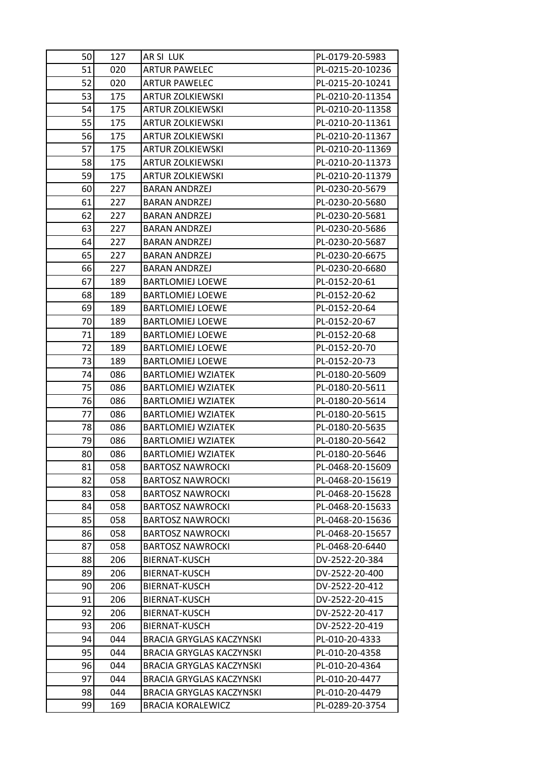| 50 | 127 | AR SI LUK                       | PL-0179-20-5983  |
|----|-----|---------------------------------|------------------|
| 51 | 020 | <b>ARTUR PAWELEC</b>            | PL-0215-20-10236 |
| 52 | 020 | <b>ARTUR PAWELEC</b>            | PL-0215-20-10241 |
| 53 | 175 | <b>ARTUR ZOLKIEWSKI</b>         | PL-0210-20-11354 |
| 54 | 175 | ARTUR ZOLKIEWSKI                | PL-0210-20-11358 |
| 55 | 175 | <b>ARTUR ZOLKIEWSKI</b>         | PL-0210-20-11361 |
| 56 | 175 | <b>ARTUR ZOLKIEWSKI</b>         | PL-0210-20-11367 |
| 57 | 175 | <b>ARTUR ZOLKIEWSKI</b>         | PL-0210-20-11369 |
| 58 | 175 | <b>ARTUR ZOLKIEWSKI</b>         | PL-0210-20-11373 |
| 59 | 175 | ARTUR ZOLKIEWSKI                | PL-0210-20-11379 |
| 60 | 227 | <b>BARAN ANDRZEJ</b>            | PL-0230-20-5679  |
| 61 | 227 | <b>BARAN ANDRZEJ</b>            | PL-0230-20-5680  |
| 62 | 227 | <b>BARAN ANDRZEJ</b>            | PL-0230-20-5681  |
| 63 | 227 | <b>BARAN ANDRZEJ</b>            | PL-0230-20-5686  |
| 64 | 227 | <b>BARAN ANDRZEJ</b>            | PL-0230-20-5687  |
| 65 | 227 | <b>BARAN ANDRZEJ</b>            | PL-0230-20-6675  |
| 66 | 227 | <b>BARAN ANDRZEJ</b>            | PL-0230-20-6680  |
| 67 | 189 | <b>BARTLOMIEJ LOEWE</b>         | PL-0152-20-61    |
| 68 | 189 | <b>BARTLOMIEJ LOEWE</b>         | PL-0152-20-62    |
| 69 | 189 | <b>BARTLOMIEJ LOEWE</b>         | PL-0152-20-64    |
| 70 | 189 | <b>BARTLOMIEJ LOEWE</b>         | PL-0152-20-67    |
| 71 | 189 | <b>BARTLOMIEJ LOEWE</b>         | PL-0152-20-68    |
| 72 | 189 | <b>BARTLOMIEJ LOEWE</b>         | PL-0152-20-70    |
| 73 | 189 | <b>BARTLOMIEJ LOEWE</b>         | PL-0152-20-73    |
| 74 | 086 | <b>BARTLOMIEJ WZIATEK</b>       | PL-0180-20-5609  |
| 75 | 086 | <b>BARTLOMIEJ WZIATEK</b>       | PL-0180-20-5611  |
| 76 | 086 | <b>BARTLOMIEJ WZIATEK</b>       | PL-0180-20-5614  |
| 77 | 086 | <b>BARTLOMIEJ WZIATEK</b>       | PL-0180-20-5615  |
| 78 | 086 | <b>BARTLOMIEJ WZIATEK</b>       | PL-0180-20-5635  |
| 79 | 086 | <b>BARTLOMIEJ WZIATEK</b>       | PL-0180-20-5642  |
| 80 | 086 | <b>BARTLOMIEJ WZIATEK</b>       | PL-0180-20-5646  |
| 81 | 058 | <b>BARTOSZ NAWROCKI</b>         | PL-0468-20-15609 |
| 82 | 058 | <b>BARTOSZ NAWROCKI</b>         | PL-0468-20-15619 |
| 83 | 058 | <b>BARTOSZ NAWROCKI</b>         | PL-0468-20-15628 |
| 84 | 058 | <b>BARTOSZ NAWROCKI</b>         | PL-0468-20-15633 |
| 85 | 058 | <b>BARTOSZ NAWROCKI</b>         | PL-0468-20-15636 |
| 86 | 058 | <b>BARTOSZ NAWROCKI</b>         | PL-0468-20-15657 |
| 87 | 058 | <b>BARTOSZ NAWROCKI</b>         | PL-0468-20-6440  |
| 88 | 206 | <b>BIERNAT-KUSCH</b>            | DV-2522-20-384   |
| 89 | 206 | BIERNAT-KUSCH                   | DV-2522-20-400   |
| 90 | 206 | BIERNAT-KUSCH                   | DV-2522-20-412   |
| 91 | 206 | BIERNAT-KUSCH                   | DV-2522-20-415   |
| 92 | 206 | BIERNAT-KUSCH                   | DV-2522-20-417   |
| 93 | 206 | <b>BIERNAT-KUSCH</b>            | DV-2522-20-419   |
| 94 | 044 | <b>BRACIA GRYGLAS KACZYNSKI</b> | PL-010-20-4333   |
| 95 | 044 | <b>BRACIA GRYGLAS KACZYNSKI</b> | PL-010-20-4358   |
| 96 | 044 | <b>BRACIA GRYGLAS KACZYNSKI</b> | PL-010-20-4364   |
| 97 | 044 | BRACIA GRYGLAS KACZYNSKI        | PL-010-20-4477   |
| 98 | 044 | <b>BRACIA GRYGLAS KACZYNSKI</b> | PL-010-20-4479   |
| 99 | 169 | <b>BRACIA KORALEWICZ</b>        | PL-0289-20-3754  |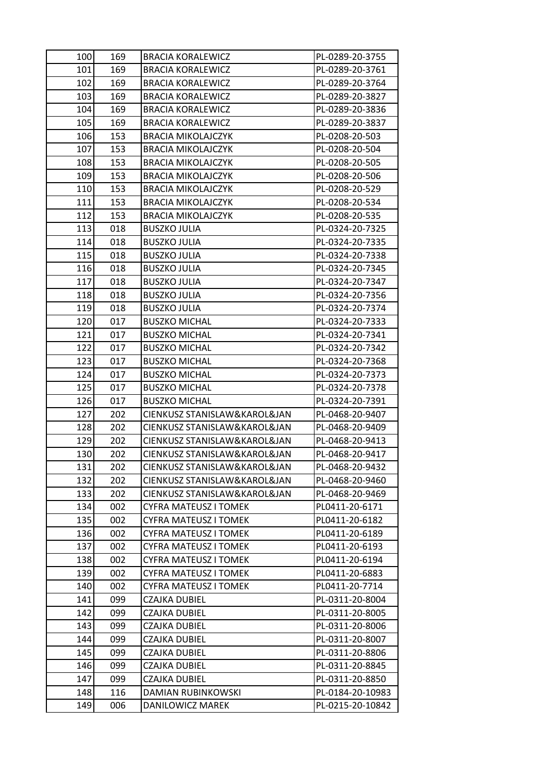| 100 | 169 | <b>BRACIA KORALEWICZ</b>     | PL-0289-20-3755  |
|-----|-----|------------------------------|------------------|
| 101 | 169 | <b>BRACIA KORALEWICZ</b>     | PL-0289-20-3761  |
| 102 | 169 | <b>BRACIA KORALEWICZ</b>     | PL-0289-20-3764  |
| 103 | 169 | <b>BRACIA KORALEWICZ</b>     | PL-0289-20-3827  |
| 104 | 169 | <b>BRACIA KORALEWICZ</b>     | PL-0289-20-3836  |
| 105 | 169 | <b>BRACIA KORALEWICZ</b>     | PL-0289-20-3837  |
| 106 | 153 | <b>BRACIA MIKOLAJCZYK</b>    | PL-0208-20-503   |
| 107 | 153 | <b>BRACIA MIKOLAJCZYK</b>    | PL-0208-20-504   |
| 108 | 153 | <b>BRACIA MIKOLAJCZYK</b>    | PL-0208-20-505   |
| 109 | 153 | <b>BRACIA MIKOLAJCZYK</b>    | PL-0208-20-506   |
| 110 | 153 | <b>BRACIA MIKOLAJCZYK</b>    | PL-0208-20-529   |
| 111 | 153 | <b>BRACIA MIKOLAJCZYK</b>    | PL-0208-20-534   |
| 112 | 153 | <b>BRACIA MIKOLAJCZYK</b>    | PL-0208-20-535   |
| 113 | 018 | <b>BUSZKO JULIA</b>          | PL-0324-20-7325  |
| 114 | 018 | <b>BUSZKO JULIA</b>          | PL-0324-20-7335  |
| 115 | 018 | <b>BUSZKO JULIA</b>          | PL-0324-20-7338  |
| 116 | 018 | <b>BUSZKO JULIA</b>          | PL-0324-20-7345  |
| 117 | 018 | <b>BUSZKO JULIA</b>          | PL-0324-20-7347  |
| 118 | 018 | <b>BUSZKO JULIA</b>          | PL-0324-20-7356  |
| 119 | 018 | <b>BUSZKO JULIA</b>          | PL-0324-20-7374  |
| 120 | 017 | <b>BUSZKO MICHAL</b>         | PL-0324-20-7333  |
| 121 | 017 | <b>BUSZKO MICHAL</b>         | PL-0324-20-7341  |
| 122 | 017 | <b>BUSZKO MICHAL</b>         | PL-0324-20-7342  |
| 123 | 017 | <b>BUSZKO MICHAL</b>         | PL-0324-20-7368  |
| 124 | 017 | <b>BUSZKO MICHAL</b>         | PL-0324-20-7373  |
| 125 | 017 | <b>BUSZKO MICHAL</b>         | PL-0324-20-7378  |
| 126 | 017 | <b>BUSZKO MICHAL</b>         | PL-0324-20-7391  |
| 127 | 202 | CIENKUSZ STANISLAW&KAROL&JAN | PL-0468-20-9407  |
| 128 | 202 | CIENKUSZ STANISLAW&KAROL&JAN | PL-0468-20-9409  |
| 129 | 202 | CIENKUSZ STANISLAW&KAROL&JAN | PL-0468-20-9413  |
| 130 | 202 | CIENKUSZ STANISLAW&KAROL&JAN | PL-0468-20-9417  |
| 131 | 202 | CIENKUSZ STANISLAW&KAROL&JAN | PL-0468-20-9432  |
| 132 | 202 | CIENKUSZ STANISLAW&KAROL&JAN | PL-0468-20-9460  |
| 133 | 202 | CIENKUSZ STANISLAW&KAROL&JAN | PL-0468-20-9469  |
| 134 | 002 | CYFRA MATEUSZ I TOMEK        | PL0411-20-6171   |
| 135 | 002 | <b>CYFRA MATEUSZ I TOMEK</b> | PL0411-20-6182   |
| 136 | 002 | CYFRA MATEUSZ I TOMEK        | PL0411-20-6189   |
| 137 | 002 | CYFRA MATEUSZ I TOMEK        | PL0411-20-6193   |
| 138 | 002 | <b>CYFRA MATEUSZ I TOMEK</b> | PL0411-20-6194   |
| 139 | 002 | CYFRA MATEUSZ I TOMEK        | PL0411-20-6883   |
| 140 | 002 | CYFRA MATEUSZ I TOMEK        | PL0411-20-7714   |
| 141 | 099 | CZAJKA DUBIEL                | PL-0311-20-8004  |
| 142 | 099 | CZAJKA DUBIEL                | PL-0311-20-8005  |
| 143 | 099 | <b>CZAJKA DUBIEL</b>         | PL-0311-20-8006  |
| 144 | 099 | CZAJKA DUBIEL                | PL-0311-20-8007  |
| 145 | 099 | <b>CZAJKA DUBIEL</b>         | PL-0311-20-8806  |
| 146 | 099 | <b>CZAJKA DUBIEL</b>         | PL-0311-20-8845  |
| 147 | 099 | CZAJKA DUBIEL                | PL-0311-20-8850  |
| 148 | 116 | DAMIAN RUBINKOWSKI           | PL-0184-20-10983 |
| 149 | 006 | DANILOWICZ MAREK             | PL-0215-20-10842 |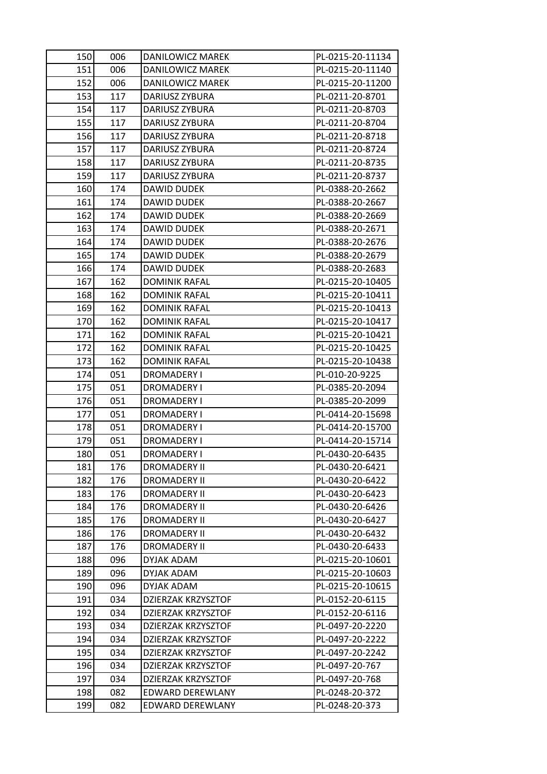| 150        | 006        | DANILOWICZ MAREK                     | PL-0215-20-11134                 |
|------------|------------|--------------------------------------|----------------------------------|
| 151        | 006        | DANILOWICZ MAREK                     | PL-0215-20-11140                 |
| 152        | 006        | DANILOWICZ MAREK                     | PL-0215-20-11200                 |
| 153        | 117        | DARIUSZ ZYBURA                       | PL-0211-20-8701                  |
| 154        | 117        | DARIUSZ ZYBURA                       | PL-0211-20-8703                  |
| 155        | 117        | DARIUSZ ZYBURA                       | PL-0211-20-8704                  |
| 156        | 117        | DARIUSZ ZYBURA                       | PL-0211-20-8718                  |
| 157        | 117        | DARIUSZ ZYBURA                       | PL-0211-20-8724                  |
| 158        | 117        | DARIUSZ ZYBURA                       | PL-0211-20-8735                  |
| 159        | 117        | DARIUSZ ZYBURA                       | PL-0211-20-8737                  |
| 160        | 174        | DAWID DUDEK                          | PL-0388-20-2662                  |
| 161        | 174        | <b>DAWID DUDEK</b>                   | PL-0388-20-2667                  |
| 162        | 174        | <b>DAWID DUDEK</b>                   | PL-0388-20-2669                  |
| 163        | 174        | DAWID DUDEK                          | PL-0388-20-2671                  |
| 164        | 174        | DAWID DUDEK                          | PL-0388-20-2676                  |
| 165        | 174        | <b>DAWID DUDEK</b>                   | PL-0388-20-2679                  |
| 166        | 174        | <b>DAWID DUDEK</b>                   | PL-0388-20-2683                  |
| 167        | 162        | <b>DOMINIK RAFAL</b>                 | PL-0215-20-10405                 |
| 168        | 162        | <b>DOMINIK RAFAL</b>                 | PL-0215-20-10411                 |
| 169        | 162        | <b>DOMINIK RAFAL</b>                 | PL-0215-20-10413                 |
| 170        | 162        | <b>DOMINIK RAFAL</b>                 | PL-0215-20-10417                 |
| 171        | 162        | <b>DOMINIK RAFAL</b>                 | PL-0215-20-10421                 |
| 172        | 162        | <b>DOMINIK RAFAL</b>                 | PL-0215-20-10425                 |
| 173        | 162        | <b>DOMINIK RAFAL</b>                 | PL-0215-20-10438                 |
| 174        | 051        | DROMADERY I                          | PL-010-20-9225                   |
|            |            |                                      |                                  |
| 175        | 051        | <b>DROMADERY I</b>                   | PL-0385-20-2094                  |
| 176        | 051        | <b>DROMADERY I</b>                   | PL-0385-20-2099                  |
| 177        | 051        | <b>DROMADERY I</b>                   | PL-0414-20-15698                 |
| 178        | 051        | <b>DROMADERY I</b>                   | PL-0414-20-15700                 |
| 179        | 051        | DROMADERY I                          | PL-0414-20-15714                 |
| 180        | 051        | DROMADERY I                          | PL-0430-20-6435                  |
| 181        | 176        | <b>DROMADERY II</b>                  | PL-0430-20-6421                  |
| 182        | 176        | <b>DROMADERY II</b>                  | PL-0430-20-6422                  |
| 183        | 176        | <b>DROMADERY II</b>                  | PL-0430-20-6423                  |
| 184        | 176        | <b>DROMADERY II</b>                  | PL-0430-20-6426                  |
| 185        | 176        | <b>DROMADERY II</b>                  | PL-0430-20-6427                  |
| 186        | 176        | <b>DROMADERY II</b>                  | PL-0430-20-6432                  |
| 187        | 176        | <b>DROMADERY II</b>                  | PL-0430-20-6433                  |
| 188        | 096        | DYJAK ADAM                           | PL-0215-20-10601                 |
| 189        | 096        | DYJAK ADAM                           | PL-0215-20-10603                 |
| 190        | 096        | DYJAK ADAM                           | PL-0215-20-10615                 |
| 191        | 034        | DZIERZAK KRZYSZTOF                   | PL-0152-20-6115                  |
| 192        | 034        | DZIERZAK KRZYSZTOF                   | PL-0152-20-6116                  |
| 193        | 034        | DZIERZAK KRZYSZTOF                   | PL-0497-20-2220                  |
| 194        | 034        | DZIERZAK KRZYSZTOF                   | PL-0497-20-2222                  |
| 195        | 034        | <b>DZIERZAK KRZYSZTOF</b>            | PL-0497-20-2242                  |
| 196        | 034        | DZIERZAK KRZYSZTOF                   | PL-0497-20-767                   |
| 197        | 034        | DZIERZAK KRZYSZTOF                   | PL-0497-20-768                   |
| 198<br>199 | 082<br>082 | EDWARD DEREWLANY<br>EDWARD DEREWLANY | PL-0248-20-372<br>PL-0248-20-373 |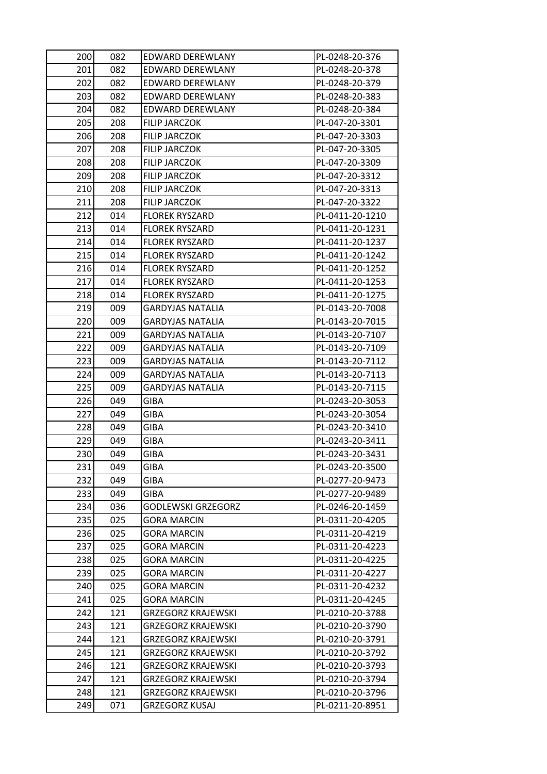| 200 | 082 | EDWARD DEREWLANY          | PL-0248-20-376  |
|-----|-----|---------------------------|-----------------|
| 201 | 082 | EDWARD DEREWLANY          | PL-0248-20-378  |
| 202 | 082 | <b>EDWARD DEREWLANY</b>   | PL-0248-20-379  |
| 203 | 082 | EDWARD DEREWLANY          | PL-0248-20-383  |
| 204 | 082 | EDWARD DEREWLANY          | PL-0248-20-384  |
| 205 | 208 | FILIP JARCZOK             | PL-047-20-3301  |
| 206 | 208 | FILIP JARCZOK             | PL-047-20-3303  |
| 207 | 208 | FILIP JARCZOK             | PL-047-20-3305  |
| 208 | 208 | <b>FILIP JARCZOK</b>      | PL-047-20-3309  |
| 209 | 208 | <b>FILIP JARCZOK</b>      | PL-047-20-3312  |
| 210 | 208 | FILIP JARCZOK             | PL-047-20-3313  |
| 211 | 208 | FILIP JARCZOK             | PL-047-20-3322  |
| 212 | 014 | <b>FLOREK RYSZARD</b>     | PL-0411-20-1210 |
| 213 | 014 | <b>FLOREK RYSZARD</b>     | PL-0411-20-1231 |
| 214 | 014 | <b>FLOREK RYSZARD</b>     | PL-0411-20-1237 |
| 215 | 014 | <b>FLOREK RYSZARD</b>     | PL-0411-20-1242 |
| 216 | 014 | <b>FLOREK RYSZARD</b>     | PL-0411-20-1252 |
| 217 | 014 | <b>FLOREK RYSZARD</b>     | PL-0411-20-1253 |
| 218 | 014 | <b>FLOREK RYSZARD</b>     | PL-0411-20-1275 |
| 219 | 009 | <b>GARDYJAS NATALIA</b>   | PL-0143-20-7008 |
| 220 | 009 | <b>GARDYJAS NATALIA</b>   | PL-0143-20-7015 |
| 221 | 009 | <b>GARDYJAS NATALIA</b>   | PL-0143-20-7107 |
| 222 | 009 | <b>GARDYJAS NATALIA</b>   | PL-0143-20-7109 |
| 223 | 009 | <b>GARDYJAS NATALIA</b>   | PL-0143-20-7112 |
| 224 | 009 | <b>GARDYJAS NATALIA</b>   | PL-0143-20-7113 |
| 225 | 009 | <b>GARDYJAS NATALIA</b>   | PL-0143-20-7115 |
| 226 | 049 | <b>GIBA</b>               | PL-0243-20-3053 |
| 227 | 049 | GIBA                      | PL-0243-20-3054 |
| 228 | 049 | <b>GIBA</b>               | PL-0243-20-3410 |
| 229 | 049 | <b>GIBA</b>               | PL-0243-20-3411 |
| 230 | 049 | GIBA                      | PL-0243-20-3431 |
| 231 | 049 | <b>GIBA</b>               | PL-0243-20-3500 |
| 232 | 049 | <b>GIBA</b>               | PL-0277-20-9473 |
| 233 | 049 | <b>GIBA</b>               | PL-0277-20-9489 |
| 234 | 036 | <b>GODLEWSKI GRZEGORZ</b> | PL-0246-20-1459 |
| 235 | 025 | <b>GORA MARCIN</b>        | PL-0311-20-4205 |
| 236 | 025 | <b>GORA MARCIN</b>        | PL-0311-20-4219 |
| 237 | 025 | <b>GORA MARCIN</b>        | PL-0311-20-4223 |
| 238 | 025 | <b>GORA MARCIN</b>        | PL-0311-20-4225 |
| 239 | 025 | <b>GORA MARCIN</b>        | PL-0311-20-4227 |
| 240 | 025 | <b>GORA MARCIN</b>        | PL-0311-20-4232 |
| 241 | 025 | <b>GORA MARCIN</b>        | PL-0311-20-4245 |
| 242 | 121 | <b>GRZEGORZ KRAJEWSKI</b> | PL-0210-20-3788 |
| 243 | 121 | <b>GRZEGORZ KRAJEWSKI</b> | PL-0210-20-3790 |
| 244 | 121 | <b>GRZEGORZ KRAJEWSKI</b> | PL-0210-20-3791 |
| 245 | 121 | <b>GRZEGORZ KRAJEWSKI</b> | PL-0210-20-3792 |
| 246 | 121 | <b>GRZEGORZ KRAJEWSKI</b> | PL-0210-20-3793 |
| 247 | 121 | <b>GRZEGORZ KRAJEWSKI</b> | PL-0210-20-3794 |
| 248 | 121 | <b>GRZEGORZ KRAJEWSKI</b> | PL-0210-20-3796 |
| 249 | 071 | GRZEGORZ KUSAJ            | PL-0211-20-8951 |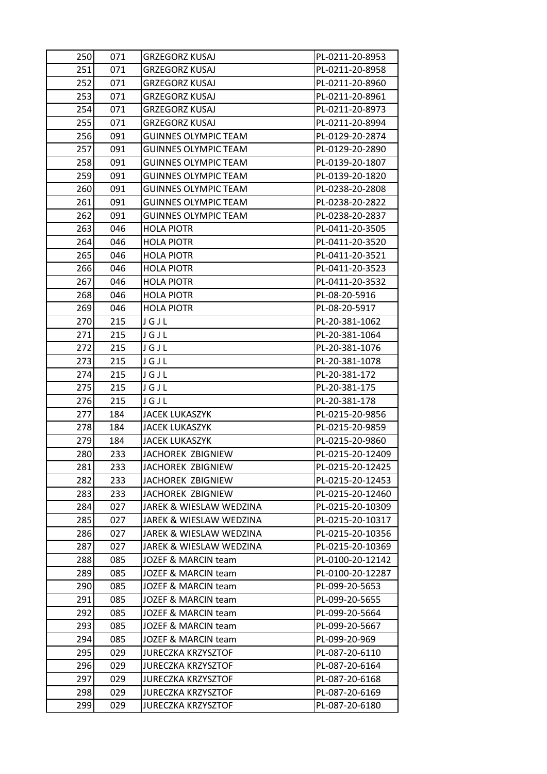| 250        | 071        | <b>GRZEGORZ KUSAJ</b>                                  | PL-0211-20-8953                  |
|------------|------------|--------------------------------------------------------|----------------------------------|
| 251        | 071        | <b>GRZEGORZ KUSAJ</b>                                  | PL-0211-20-8958                  |
| 252        | 071        | <b>GRZEGORZ KUSAJ</b>                                  | PL-0211-20-8960                  |
| 253        | 071        | <b>GRZEGORZ KUSAJ</b>                                  | PL-0211-20-8961                  |
| 254        | 071        | GRZEGORZ KUSAJ                                         | PL-0211-20-8973                  |
| 255        | 071        | <b>GRZEGORZ KUSAJ</b>                                  | PL-0211-20-8994                  |
| 256        | 091        | <b>GUINNES OLYMPIC TEAM</b>                            | PL-0129-20-2874                  |
| 257        | 091        | <b>GUINNES OLYMPIC TEAM</b>                            | PL-0129-20-2890                  |
| 258        | 091        | <b>GUINNES OLYMPIC TEAM</b>                            | PL-0139-20-1807                  |
| 259        | 091        | <b>GUINNES OLYMPIC TEAM</b>                            | PL-0139-20-1820                  |
| 260        | 091        | <b>GUINNES OLYMPIC TEAM</b>                            | PL-0238-20-2808                  |
| 261        | 091        | <b>GUINNES OLYMPIC TEAM</b>                            | PL-0238-20-2822                  |
| 262        | 091        | <b>GUINNES OLYMPIC TEAM</b>                            | PL-0238-20-2837                  |
| 263        | 046        | <b>HOLA PIOTR</b>                                      | PL-0411-20-3505                  |
| 264        | 046        | <b>HOLA PIOTR</b>                                      | PL-0411-20-3520                  |
| 265        | 046        | <b>HOLA PIOTR</b>                                      | PL-0411-20-3521                  |
| 266        | 046        | <b>HOLA PIOTR</b>                                      | PL-0411-20-3523                  |
| 267        | 046        | <b>HOLA PIOTR</b>                                      | PL-0411-20-3532                  |
| 268        | 046        | <b>HOLA PIOTR</b>                                      | PL-08-20-5916                    |
| 269        | 046        | <b>HOLA PIOTR</b>                                      | PL-08-20-5917                    |
| 270        | 215        | JGJL                                                   | PL-20-381-1062                   |
| 271        | 215        | JGJL                                                   | PL-20-381-1064                   |
| 272        | 215        | JGJL                                                   | PL-20-381-1076                   |
| 273        | 215        | JGJL                                                   | PL-20-381-1078                   |
| 274        | 215        | JGJL                                                   | PL-20-381-172                    |
|            |            |                                                        |                                  |
| 275        | 215        | JGJL                                                   | PL-20-381-175                    |
| 276        | 215        | JGJL                                                   | PL-20-381-178                    |
| 277        | 184        | JACEK LUKASZYK                                         | PL-0215-20-9856                  |
| 278        | 184        | <b>JACEK LUKASZYK</b>                                  | PL-0215-20-9859                  |
| 279        | 184        | <b>JACEK LUKASZYK</b>                                  | PL-0215-20-9860                  |
| 280        | 233        | JACHOREK ZBIGNIEW                                      | PL-0215-20-12409                 |
| 281        | 233        | JACHOREK ZBIGNIEW                                      | PL-0215-20-12425                 |
| 282        | 233        | JACHOREK ZBIGNIEW                                      | PL-0215-20-12453                 |
| 283        | 233        | JACHOREK ZBIGNIEW                                      | PL-0215-20-12460                 |
| 284        | 027        | JAREK & WIESLAW WEDZINA                                | PL-0215-20-10309                 |
| 285        | 027        | JAREK & WIESLAW WEDZINA                                | PL-0215-20-10317                 |
| 286        | 027        | JAREK & WIESLAW WEDZINA                                | PL-0215-20-10356                 |
| 287        | 027        | JAREK & WIESLAW WEDZINA                                | PL-0215-20-10369                 |
| 288        | 085        | JOZEF & MARCIN team                                    | PL-0100-20-12142                 |
| 289        | 085        | JOZEF & MARCIN team                                    | PL-0100-20-12287                 |
| 290        | 085        | JOZEF & MARCIN team                                    | PL-099-20-5653                   |
| 291        | 085        | JOZEF & MARCIN team                                    | PL-099-20-5655                   |
| 292        | 085        | JOZEF & MARCIN team                                    | PL-099-20-5664                   |
| 293        | 085        | JOZEF & MARCIN team                                    | PL-099-20-5667                   |
| 294        | 085        | JOZEF & MARCIN team                                    | PL-099-20-969                    |
| 295        | 029        | <b>JURECZKA KRZYSZTOF</b>                              | PL-087-20-6110                   |
| 296        | 029        | <b>JURECZKA KRZYSZTOF</b>                              | PL-087-20-6164                   |
| 297        | 029        | <b>JURECZKA KRZYSZTOF</b>                              | PL-087-20-6168                   |
| 298<br>299 | 029<br>029 | <b>JURECZKA KRZYSZTOF</b><br><b>JURECZKA KRZYSZTOF</b> | PL-087-20-6169<br>PL-087-20-6180 |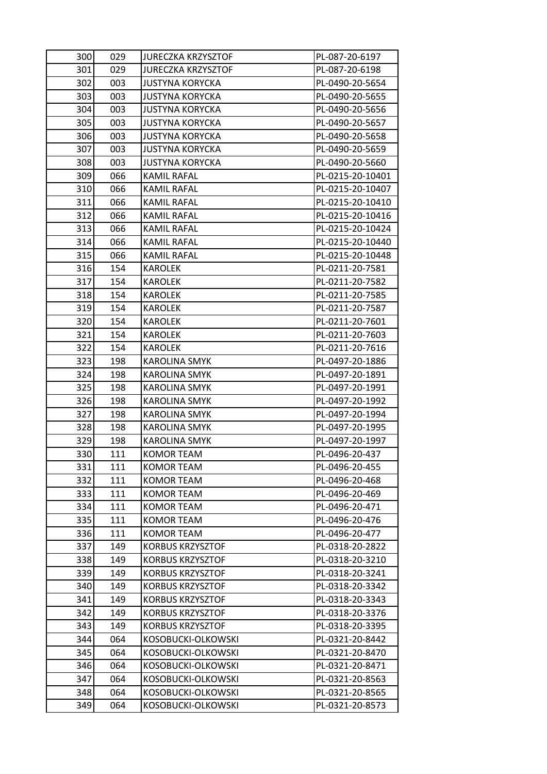| 300 | 029 | <b>JURECZKA KRZYSZTOF</b> | PL-087-20-6197   |
|-----|-----|---------------------------|------------------|
| 301 | 029 | <b>JURECZKA KRZYSZTOF</b> | PL-087-20-6198   |
| 302 | 003 | <b>JUSTYNA KORYCKA</b>    | PL-0490-20-5654  |
| 303 | 003 | <b>JUSTYNA KORYCKA</b>    | PL-0490-20-5655  |
| 304 | 003 | <b>JUSTYNA KORYCKA</b>    | PL-0490-20-5656  |
| 305 | 003 | <b>JUSTYNA KORYCKA</b>    | PL-0490-20-5657  |
| 306 | 003 | <b>JUSTYNA KORYCKA</b>    | PL-0490-20-5658  |
| 307 | 003 | <b>JUSTYNA KORYCKA</b>    | PL-0490-20-5659  |
| 308 | 003 | <b>JUSTYNA KORYCKA</b>    | PL-0490-20-5660  |
| 309 | 066 | <b>KAMIL RAFAL</b>        | PL-0215-20-10401 |
| 310 | 066 | KAMIL RAFAL               | PL-0215-20-10407 |
| 311 | 066 | <b>KAMIL RAFAL</b>        | PL-0215-20-10410 |
| 312 | 066 | KAMIL RAFAL               | PL-0215-20-10416 |
| 313 | 066 | <b>KAMIL RAFAL</b>        | PL-0215-20-10424 |
| 314 | 066 | <b>KAMIL RAFAL</b>        | PL-0215-20-10440 |
| 315 | 066 | KAMIL RAFAL               | PL-0215-20-10448 |
| 316 | 154 | <b>KAROLEK</b>            | PL-0211-20-7581  |
| 317 | 154 | KAROLEK                   | PL-0211-20-7582  |
| 318 | 154 | <b>KAROLEK</b>            | PL-0211-20-7585  |
| 319 | 154 | KAROLEK                   | PL-0211-20-7587  |
| 320 | 154 | KAROLEK                   | PL-0211-20-7601  |
| 321 | 154 | <b>KAROLEK</b>            | PL-0211-20-7603  |
| 322 | 154 | <b>KAROLEK</b>            | PL-0211-20-7616  |
| 323 | 198 | KAROLINA SMYK             | PL-0497-20-1886  |
| 324 | 198 | <b>KAROLINA SMYK</b>      | PL-0497-20-1891  |
| 325 | 198 | <b>KAROLINA SMYK</b>      | PL-0497-20-1991  |
| 326 | 198 | <b>KAROLINA SMYK</b>      | PL-0497-20-1992  |
| 327 | 198 | <b>KAROLINA SMYK</b>      | PL-0497-20-1994  |
| 328 | 198 | KAROLINA SMYK             | PL-0497-20-1995  |
| 329 | 198 | <b>KAROLINA SMYK</b>      | PL-0497-20-1997  |
| 330 | 111 | <b>KOMOR TEAM</b>         | PL-0496-20-437   |
| 331 | 111 | <b>KOMOR TEAM</b>         | PL-0496-20-455   |
| 332 | 111 | <b>KOMOR TEAM</b>         | PL-0496-20-468   |
| 333 | 111 | <b>KOMOR TEAM</b>         | PL-0496-20-469   |
| 334 | 111 | KOMOR TEAM                | PL-0496-20-471   |
| 335 | 111 | <b>KOMOR TEAM</b>         | PL-0496-20-476   |
| 336 | 111 | <b>KOMOR TEAM</b>         | PL-0496-20-477   |
| 337 | 149 | <b>KORBUS KRZYSZTOF</b>   | PL-0318-20-2822  |
| 338 | 149 | <b>KORBUS KRZYSZTOF</b>   | PL-0318-20-3210  |
| 339 | 149 | <b>KORBUS KRZYSZTOF</b>   | PL-0318-20-3241  |
| 340 | 149 | <b>KORBUS KRZYSZTOF</b>   | PL-0318-20-3342  |
| 341 | 149 | <b>KORBUS KRZYSZTOF</b>   | PL-0318-20-3343  |
| 342 | 149 | <b>KORBUS KRZYSZTOF</b>   | PL-0318-20-3376  |
| 343 | 149 | <b>KORBUS KRZYSZTOF</b>   | PL-0318-20-3395  |
| 344 | 064 | KOSOBUCKI-OLKOWSKI        | PL-0321-20-8442  |
| 345 | 064 | KOSOBUCKI-OLKOWSKI        | PL-0321-20-8470  |
| 346 | 064 | KOSOBUCKI-OLKOWSKI        | PL-0321-20-8471  |
| 347 | 064 | KOSOBUCKI-OLKOWSKI        | PL-0321-20-8563  |
| 348 | 064 | KOSOBUCKI-OLKOWSKI        | PL-0321-20-8565  |
| 349 | 064 | KOSOBUCKI-OLKOWSKI        | PL-0321-20-8573  |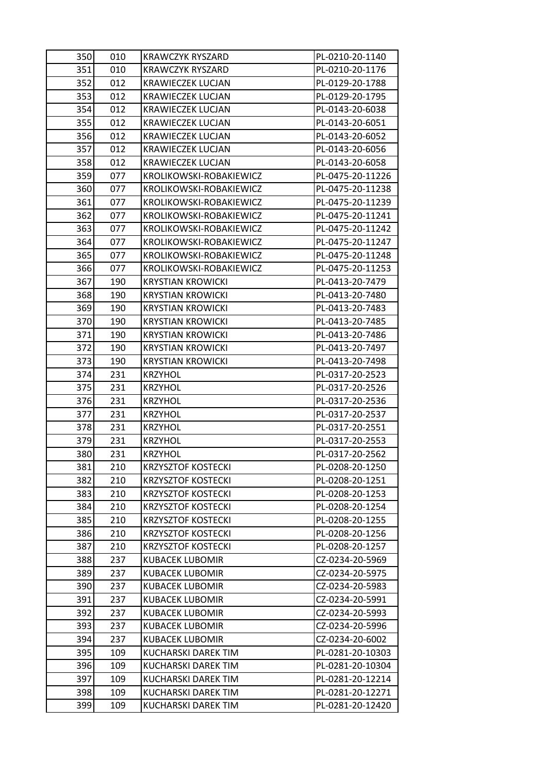| 350 | 010 | <b>KRAWCZYK RYSZARD</b>   | PL-0210-20-1140  |
|-----|-----|---------------------------|------------------|
| 351 | 010 | <b>KRAWCZYK RYSZARD</b>   | PL-0210-20-1176  |
| 352 | 012 | <b>KRAWIECZEK LUCJAN</b>  | PL-0129-20-1788  |
| 353 | 012 | <b>KRAWIECZEK LUCJAN</b>  | PL-0129-20-1795  |
| 354 | 012 | KRAWIECZEK LUCJAN         | PL-0143-20-6038  |
| 355 | 012 | <b>KRAWIECZEK LUCJAN</b>  | PL-0143-20-6051  |
| 356 | 012 | <b>KRAWIECZEK LUCJAN</b>  | PL-0143-20-6052  |
| 357 | 012 | <b>KRAWIECZEK LUCJAN</b>  | PL-0143-20-6056  |
| 358 | 012 | KRAWIECZEK LUCJAN         | PL-0143-20-6058  |
| 359 | 077 | KROLIKOWSKI-ROBAKIEWICZ   | PL-0475-20-11226 |
| 360 | 077 | KROLIKOWSKI-ROBAKIEWICZ   | PL-0475-20-11238 |
| 361 | 077 | KROLIKOWSKI-ROBAKIEWICZ   | PL-0475-20-11239 |
| 362 | 077 | KROLIKOWSKI-ROBAKIEWICZ   | PL-0475-20-11241 |
| 363 | 077 | KROLIKOWSKI-ROBAKIEWICZ   | PL-0475-20-11242 |
| 364 | 077 | KROLIKOWSKI-ROBAKIEWICZ   | PL-0475-20-11247 |
| 365 | 077 | KROLIKOWSKI-ROBAKIEWICZ   | PL-0475-20-11248 |
| 366 | 077 | KROLIKOWSKI-ROBAKIEWICZ   | PL-0475-20-11253 |
| 367 | 190 | <b>KRYSTIAN KROWICKI</b>  | PL-0413-20-7479  |
| 368 | 190 | <b>KRYSTIAN KROWICKI</b>  | PL-0413-20-7480  |
| 369 | 190 | <b>KRYSTIAN KROWICKI</b>  | PL-0413-20-7483  |
| 370 | 190 | <b>KRYSTIAN KROWICKI</b>  | PL-0413-20-7485  |
| 371 | 190 | <b>KRYSTIAN KROWICKI</b>  | PL-0413-20-7486  |
| 372 | 190 | <b>KRYSTIAN KROWICKI</b>  | PL-0413-20-7497  |
| 373 | 190 | <b>KRYSTIAN KROWICKI</b>  | PL-0413-20-7498  |
| 374 | 231 | <b>KRZYHOL</b>            | PL-0317-20-2523  |
| 375 | 231 | <b>KRZYHOL</b>            | PL-0317-20-2526  |
| 376 | 231 | <b>KRZYHOL</b>            | PL-0317-20-2536  |
| 377 | 231 | <b>KRZYHOL</b>            | PL-0317-20-2537  |
| 378 | 231 | <b>KRZYHOL</b>            | PL-0317-20-2551  |
| 379 | 231 | <b>KRZYHOL</b>            | PL-0317-20-2553  |
| 380 | 231 | <b>KRZYHOL</b>            | PL-0317-20-2562  |
| 381 | 210 | <b>KRZYSZTOF KOSTECKI</b> | PL-0208-20-1250  |
| 382 | 210 | <b>KRZYSZTOF KOSTECKI</b> | PL-0208-20-1251  |
| 383 | 210 | <b>KRZYSZTOF KOSTECKI</b> | PL-0208-20-1253  |
| 384 | 210 | <b>KRZYSZTOF KOSTECKI</b> | PL-0208-20-1254  |
| 385 | 210 | <b>KRZYSZTOF KOSTECKI</b> | PL-0208-20-1255  |
| 386 | 210 | <b>KRZYSZTOF KOSTECKI</b> | PL-0208-20-1256  |
| 387 | 210 | <b>KRZYSZTOF KOSTECKI</b> | PL-0208-20-1257  |
| 388 | 237 | <b>KUBACEK LUBOMIR</b>    | CZ-0234-20-5969  |
| 389 | 237 | <b>KUBACEK LUBOMIR</b>    | CZ-0234-20-5975  |
| 390 | 237 | <b>KUBACEK LUBOMIR</b>    | CZ-0234-20-5983  |
| 391 | 237 | <b>KUBACEK LUBOMIR</b>    | CZ-0234-20-5991  |
| 392 | 237 | <b>KUBACEK LUBOMIR</b>    | CZ-0234-20-5993  |
| 393 | 237 | <b>KUBACEK LUBOMIR</b>    | CZ-0234-20-5996  |
| 394 | 237 | <b>KUBACEK LUBOMIR</b>    | CZ-0234-20-6002  |
| 395 | 109 | KUCHARSKI DAREK TIM       | PL-0281-20-10303 |
| 396 | 109 | KUCHARSKI DAREK TIM       | PL-0281-20-10304 |
| 397 | 109 | KUCHARSKI DAREK TIM       | PL-0281-20-12214 |
| 398 | 109 | KUCHARSKI DAREK TIM       | PL-0281-20-12271 |
| 399 | 109 | KUCHARSKI DAREK TIM       | PL-0281-20-12420 |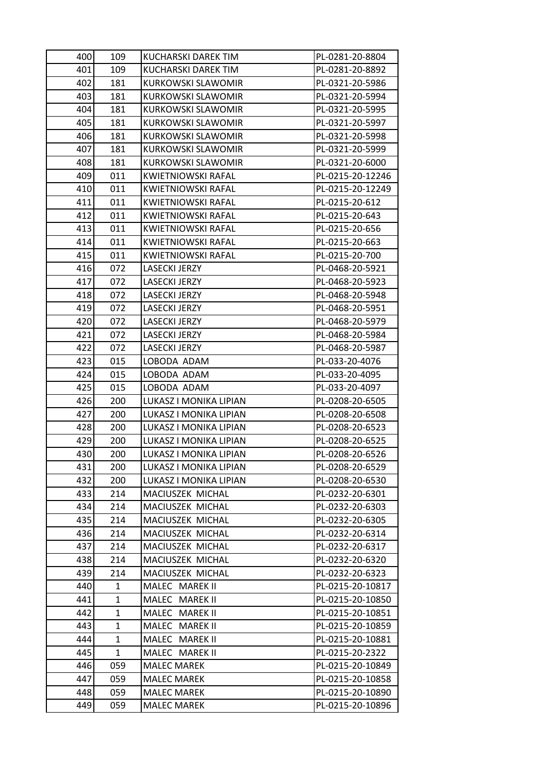| 400 | 109          | KUCHARSKI DAREK TIM                      | PL-0281-20-8804                      |
|-----|--------------|------------------------------------------|--------------------------------------|
| 401 | 109          | KUCHARSKI DAREK TIM                      | PL-0281-20-8892                      |
| 402 | 181          | <b>KURKOWSKI SLAWOMIR</b>                | PL-0321-20-5986                      |
| 403 | 181          | <b>KURKOWSKI SLAWOMIR</b>                | PL-0321-20-5994                      |
| 404 | 181          | <b>KURKOWSKI SLAWOMIR</b>                | PL-0321-20-5995                      |
| 405 | 181          | KURKOWSKI SLAWOMIR                       | PL-0321-20-5997                      |
| 406 | 181          | <b>KURKOWSKI SLAWOMIR</b>                | PL-0321-20-5998                      |
| 407 | 181          | KURKOWSKI SLAWOMIR                       | PL-0321-20-5999                      |
| 408 | 181          | <b>KURKOWSKI SLAWOMIR</b>                | PL-0321-20-6000                      |
| 409 | 011          | <b>KWIETNIOWSKI RAFAL</b>                | PL-0215-20-12246                     |
| 410 | 011          | KWIETNIOWSKI RAFAL                       | PL-0215-20-12249                     |
| 411 | 011          | <b>KWIETNIOWSKI RAFAL</b>                | PL-0215-20-612                       |
| 412 | 011          | <b>KWIETNIOWSKI RAFAL</b>                | PL-0215-20-643                       |
| 413 | 011          | <b>KWIETNIOWSKI RAFAL</b>                | PL-0215-20-656                       |
| 414 | 011          | <b>KWIETNIOWSKI RAFAL</b>                | PL-0215-20-663                       |
| 415 | 011          | <b>KWIETNIOWSKI RAFAL</b>                | PL-0215-20-700                       |
| 416 | 072          | LASECKI JERZY                            | PL-0468-20-5921                      |
| 417 | 072          | <b>LASECKI JERZY</b>                     | PL-0468-20-5923                      |
| 418 | 072          | <b>LASECKI JERZY</b>                     | PL-0468-20-5948                      |
| 419 | 072          | <b>LASECKI JERZY</b>                     | PL-0468-20-5951                      |
| 420 | 072          | <b>LASECKI JERZY</b>                     | PL-0468-20-5979                      |
| 421 | 072          | <b>LASECKI JERZY</b>                     | PL-0468-20-5984                      |
| 422 | 072          | <b>LASECKI JERZY</b>                     | PL-0468-20-5987                      |
| 423 | 015          | LOBODA ADAM                              | PL-033-20-4076                       |
| 424 | 015          | LOBODA ADAM                              | PL-033-20-4095                       |
| 425 | 015          | LOBODA ADAM                              | PL-033-20-4097                       |
| 426 | 200          | LUKASZ I MONIKA LIPIAN                   | PL-0208-20-6505                      |
| 427 | 200          | LUKASZ I MONIKA LIPIAN                   | PL-0208-20-6508                      |
| 428 | 200          | LUKASZ I MONIKA LIPIAN                   | PL-0208-20-6523                      |
| 429 | 200          | LUKASZ I MONIKA LIPIAN                   | PL-0208-20-6525                      |
| 430 | 200          | LUKASZ I MONIKA LIPIAN                   | PL-0208-20-6526                      |
| 431 | 200          | LUKASZ I MONIKA LIPIAN                   | PL-0208-20-6529                      |
| 432 | 200          | LUKASZ I MONIKA LIPIAN                   | PL-0208-20-6530                      |
| 433 | 214          | MACIUSZEK MICHAL                         | PL-0232-20-6301                      |
| 434 | 214          | MACIUSZEK MICHAL                         | PL-0232-20-6303                      |
| 435 | 214          | MACIUSZEK MICHAL                         | PL-0232-20-6305                      |
| 436 | 214          | MACIUSZEK MICHAL                         | PL-0232-20-6314                      |
| 437 | 214          | MACIUSZEK MICHAL                         | PL-0232-20-6317                      |
| 438 | 214          | MACIUSZEK MICHAL                         | PL-0232-20-6320                      |
| 439 | 214          | MACIUSZEK MICHAL                         | PL-0232-20-6323                      |
| 440 | 1            | MALEC MAREK II                           | PL-0215-20-10817                     |
| 441 | $\mathbf{1}$ | MALEC MAREK II                           | PL-0215-20-10850                     |
| 442 | 1            | MALEC MAREK II                           | PL-0215-20-10851                     |
| 443 | 1            | MALEC MAREK II                           | PL-0215-20-10859                     |
| 444 | $\mathbf{1}$ | MALEC MAREK II                           | PL-0215-20-10881                     |
| 445 | 1            | MALEC MAREK II                           | PL-0215-20-2322                      |
| 446 | 059          | <b>MALEC MAREK</b>                       | PL-0215-20-10849                     |
| 447 | 059          | <b>MALEC MAREK</b>                       | PL-0215-20-10858                     |
| 448 |              |                                          |                                      |
| 449 | 059<br>059   | <b>MALEC MAREK</b><br><b>MALEC MAREK</b> | PL-0215-20-10890<br>PL-0215-20-10896 |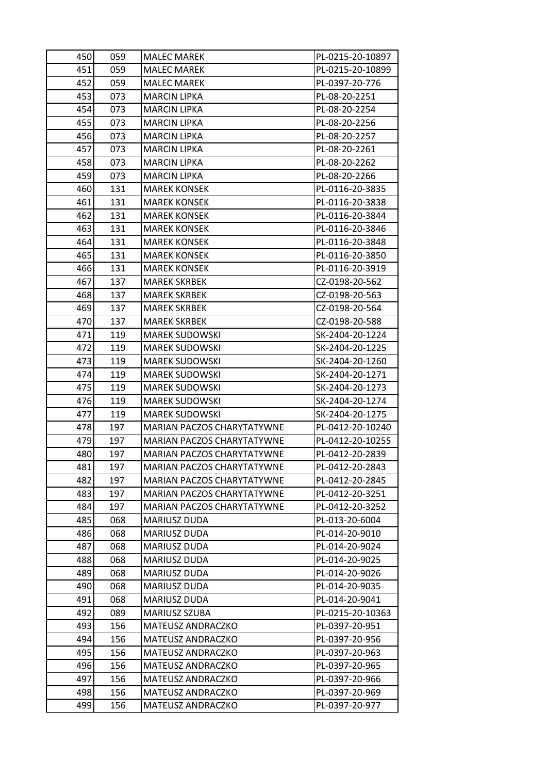| 450 | 059 | <b>MALEC MAREK</b>         | PL-0215-20-10897 |
|-----|-----|----------------------------|------------------|
| 451 | 059 | <b>MALEC MAREK</b>         | PL-0215-20-10899 |
| 452 | 059 | MALEC MAREK                | PL-0397-20-776   |
| 453 | 073 | <b>MARCIN LIPKA</b>        | PL-08-20-2251    |
| 454 | 073 | <b>MARCIN LIPKA</b>        | PL-08-20-2254    |
| 455 | 073 | <b>MARCIN LIPKA</b>        | PL-08-20-2256    |
| 456 | 073 | <b>MARCIN LIPKA</b>        | PL-08-20-2257    |
| 457 | 073 | MARCIN LIPKA               | PL-08-20-2261    |
| 458 | 073 | <b>MARCIN LIPKA</b>        | PL-08-20-2262    |
| 459 | 073 | MARCIN LIPKA               | PL-08-20-2266    |
| 460 | 131 | <b>MAREK KONSEK</b>        | PL-0116-20-3835  |
| 461 | 131 | <b>MAREK KONSEK</b>        | PL-0116-20-3838  |
| 462 | 131 | MAREK KONSEK               | PL-0116-20-3844  |
| 463 | 131 | <b>MAREK KONSEK</b>        | PL-0116-20-3846  |
| 464 | 131 | MAREK KONSEK               | PL-0116-20-3848  |
| 465 | 131 | <b>MAREK KONSEK</b>        | PL-0116-20-3850  |
| 466 | 131 | <b>MAREK KONSEK</b>        | PL-0116-20-3919  |
| 467 | 137 | MAREK SKRBEK               | CZ-0198-20-562   |
| 468 | 137 | <b>MAREK SKRBEK</b>        | CZ-0198-20-563   |
| 469 | 137 | MAREK SKRBEK               | CZ-0198-20-564   |
| 470 | 137 | <b>MAREK SKRBEK</b>        | CZ-0198-20-588   |
| 471 | 119 | <b>MAREK SUDOWSKI</b>      | SK-2404-20-1224  |
| 472 | 119 | <b>MAREK SUDOWSKI</b>      | SK-2404-20-1225  |
| 473 | 119 | <b>MAREK SUDOWSKI</b>      | SK-2404-20-1260  |
| 474 | 119 | <b>MAREK SUDOWSKI</b>      | SK-2404-20-1271  |
| 475 | 119 | <b>MAREK SUDOWSKI</b>      | SK-2404-20-1273  |
| 476 | 119 | <b>MAREK SUDOWSKI</b>      | SK-2404-20-1274  |
| 477 | 119 | <b>MAREK SUDOWSKI</b>      | SK-2404-20-1275  |
| 478 | 197 | MARIAN PACZOS CHARYTATYWNE | PL-0412-20-10240 |
| 479 | 197 | MARIAN PACZOS CHARYTATYWNE | PL-0412-20-10255 |
| 480 | 197 | MARIAN PACZOS CHARYTATYWNE | PL-0412-20-2839  |
| 481 | 197 | MARIAN PACZOS CHARYTATYWNE | PL-0412-20-2843  |
| 482 | 197 | MARIAN PACZOS CHARYTATYWNE | PL-0412-20-2845  |
| 483 | 197 | MARIAN PACZOS CHARYTATYWNE | PL-0412-20-3251  |
| 484 | 197 | MARIAN PACZOS CHARYTATYWNE | PL-0412-20-3252  |
| 485 | 068 | <b>MARIUSZ DUDA</b>        | PL-013-20-6004   |
| 486 | 068 | MARIUSZ DUDA               | PL-014-20-9010   |
| 487 | 068 | MARIUSZ DUDA               | PL-014-20-9024   |
| 488 | 068 | <b>MARIUSZ DUDA</b>        | PL-014-20-9025   |
| 489 | 068 | <b>MARIUSZ DUDA</b>        | PL-014-20-9026   |
| 490 | 068 | MARIUSZ DUDA               | PL-014-20-9035   |
| 491 | 068 | <b>MARIUSZ DUDA</b>        | PL-014-20-9041   |
| 492 | 089 | MARIUSZ SZUBA              | PL-0215-20-10363 |
| 493 | 156 | MATEUSZ ANDRACZKO          | PL-0397-20-951   |
| 494 | 156 | <b>MATEUSZ ANDRACZKO</b>   | PL-0397-20-956   |
| 495 | 156 | <b>MATEUSZ ANDRACZKO</b>   | PL-0397-20-963   |
| 496 | 156 | MATEUSZ ANDRACZKO          | PL-0397-20-965   |
| 497 | 156 | <b>MATEUSZ ANDRACZKO</b>   | PL-0397-20-966   |
| 498 | 156 | MATEUSZ ANDRACZKO          | PL-0397-20-969   |
| 499 | 156 | <b>MATEUSZ ANDRACZKO</b>   | PL-0397-20-977   |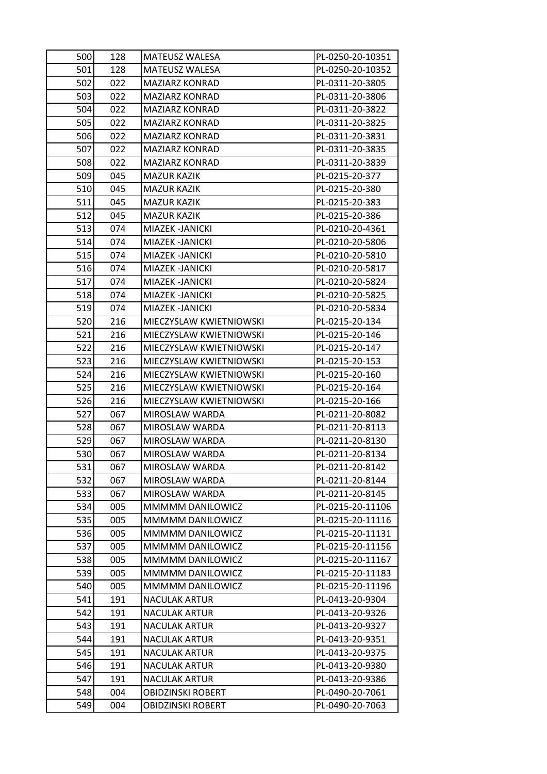| 500 | 128 | <b>MATEUSZ WALESA</b>    | PL-0250-20-10351 |
|-----|-----|--------------------------|------------------|
| 501 | 128 | <b>MATEUSZ WALESA</b>    | PL-0250-20-10352 |
| 502 | 022 | MAZIARZ KONRAD           | PL-0311-20-3805  |
| 503 | 022 | <b>MAZIARZ KONRAD</b>    | PL-0311-20-3806  |
| 504 | 022 | <b>MAZIARZ KONRAD</b>    | PL-0311-20-3822  |
| 505 | 022 | <b>MAZIARZ KONRAD</b>    | PL-0311-20-3825  |
| 506 | 022 | <b>MAZIARZ KONRAD</b>    | PL-0311-20-3831  |
| 507 | 022 | <b>MAZIARZ KONRAD</b>    | PL-0311-20-3835  |
| 508 | 022 | <b>MAZIARZ KONRAD</b>    | PL-0311-20-3839  |
| 509 | 045 | <b>MAZUR KAZIK</b>       | PL-0215-20-377   |
| 510 | 045 | <b>MAZUR KAZIK</b>       | PL-0215-20-380   |
| 511 | 045 | MAZUR KAZIK              | PL-0215-20-383   |
| 512 | 045 | <b>MAZUR KAZIK</b>       | PL-0215-20-386   |
| 513 | 074 | MIAZEK -JANICKI          | PL-0210-20-4361  |
| 514 | 074 | MIAZEK -JANICKI          | PL-0210-20-5806  |
| 515 | 074 | MIAZEK -JANICKI          | PL-0210-20-5810  |
| 516 | 074 | MIAZEK - JANICKI         | PL-0210-20-5817  |
| 517 | 074 | MIAZEK -JANICKI          | PL-0210-20-5824  |
| 518 | 074 | MIAZEK - JANICKI         | PL-0210-20-5825  |
| 519 | 074 | MIAZEK -JANICKI          | PL-0210-20-5834  |
| 520 | 216 | MIECZYSLAW KWIETNIOWSKI  | PL-0215-20-134   |
| 521 | 216 | MIECZYSLAW KWIETNIOWSKI  | PL-0215-20-146   |
| 522 | 216 | MIECZYSLAW KWIETNIOWSKI  | PL-0215-20-147   |
| 523 | 216 | MIECZYSLAW KWIETNIOWSKI  | PL-0215-20-153   |
| 524 | 216 | MIECZYSLAW KWIETNIOWSKI  | PL-0215-20-160   |
| 525 | 216 | MIECZYSLAW KWIETNIOWSKI  | PL-0215-20-164   |
| 526 | 216 | MIECZYSLAW KWIETNIOWSKI  | PL-0215-20-166   |
| 527 | 067 | MIROSLAW WARDA           | PL-0211-20-8082  |
| 528 | 067 | MIROSLAW WARDA           | PL-0211-20-8113  |
| 529 | 067 | MIROSLAW WARDA           | PL-0211-20-8130  |
| 530 | 067 | MIROSLAW WARDA           | PL-0211-20-8134  |
| 531 | 067 | MIROSLAW WARDA           | PL-0211-20-8142  |
| 532 | 067 | MIROSLAW WARDA           | PL-0211-20-8144  |
| 533 | 067 | MIROSLAW WARDA           | PL-0211-20-8145  |
| 534 | 005 | MMMMM DANILOWICZ         | PL-0215-20-11106 |
| 535 | 005 | MMMMM DANILOWICZ         | PL-0215-20-11116 |
| 536 | 005 | MMMMM DANILOWICZ         | PL-0215-20-11131 |
| 537 | 005 | MMMMM DANILOWICZ         | PL-0215-20-11156 |
| 538 | 005 | MMMMM DANILOWICZ         | PL-0215-20-11167 |
| 539 | 005 | MMMMM DANILOWICZ         | PL-0215-20-11183 |
| 540 | 005 | MMMMM DANILOWICZ         | PL-0215-20-11196 |
| 541 | 191 | <b>NACULAK ARTUR</b>     | PL-0413-20-9304  |
| 542 | 191 | <b>NACULAK ARTUR</b>     | PL-0413-20-9326  |
| 543 | 191 | <b>NACULAK ARTUR</b>     | PL-0413-20-9327  |
| 544 | 191 | <b>NACULAK ARTUR</b>     | PL-0413-20-9351  |
| 545 | 191 | <b>NACULAK ARTUR</b>     | PL-0413-20-9375  |
| 546 | 191 | <b>NACULAK ARTUR</b>     | PL-0413-20-9380  |
| 547 | 191 | <b>NACULAK ARTUR</b>     | PL-0413-20-9386  |
| 548 | 004 | <b>OBIDZINSKI ROBERT</b> | PL-0490-20-7061  |
| 549 | 004 | OBIDZINSKI ROBERT        | PL-0490-20-7063  |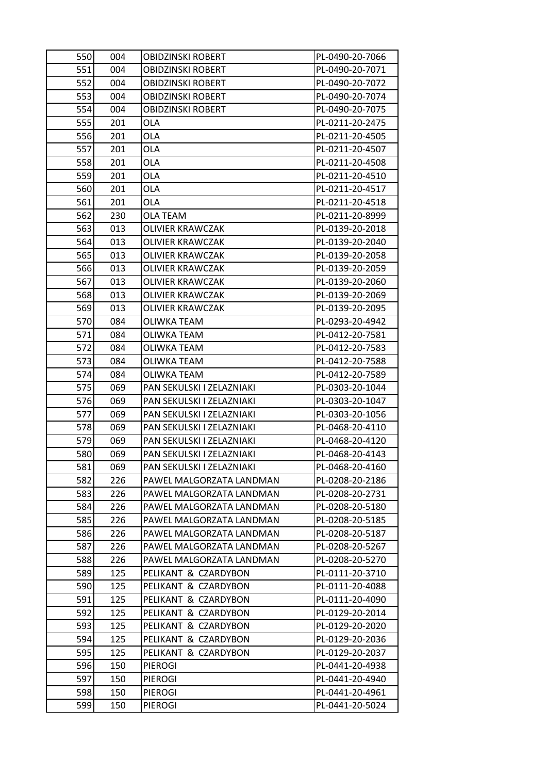| 550 | 004 | <b>OBIDZINSKI ROBERT</b>  | PL-0490-20-7066 |
|-----|-----|---------------------------|-----------------|
| 551 | 004 | <b>OBIDZINSKI ROBERT</b>  | PL-0490-20-7071 |
| 552 | 004 | OBIDZINSKI ROBERT         | PL-0490-20-7072 |
| 553 | 004 | <b>OBIDZINSKI ROBERT</b>  | PL-0490-20-7074 |
| 554 | 004 | OBIDZINSKI ROBERT         | PL-0490-20-7075 |
| 555 | 201 | OLA                       | PL-0211-20-2475 |
| 556 | 201 | <b>OLA</b>                | PL-0211-20-4505 |
| 557 | 201 | <b>OLA</b>                | PL-0211-20-4507 |
| 558 | 201 | <b>OLA</b>                | PL-0211-20-4508 |
| 559 | 201 | <b>OLA</b>                | PL-0211-20-4510 |
| 560 | 201 | OLA                       | PL-0211-20-4517 |
| 561 | 201 | <b>OLA</b>                | PL-0211-20-4518 |
| 562 | 230 | OLA TEAM                  | PL-0211-20-8999 |
| 563 | 013 | <b>OLIVIER KRAWCZAK</b>   | PL-0139-20-2018 |
| 564 | 013 | <b>OLIVIER KRAWCZAK</b>   | PL-0139-20-2040 |
| 565 | 013 | <b>OLIVIER KRAWCZAK</b>   | PL-0139-20-2058 |
| 566 | 013 | <b>OLIVIER KRAWCZAK</b>   | PL-0139-20-2059 |
| 567 | 013 | OLIVIER KRAWCZAK          | PL-0139-20-2060 |
| 568 | 013 | <b>OLIVIER KRAWCZAK</b>   | PL-0139-20-2069 |
| 569 | 013 | OLIVIER KRAWCZAK          | PL-0139-20-2095 |
| 570 | 084 | OLIWKA TEAM               | PL-0293-20-4942 |
| 571 | 084 | <b>OLIWKA TEAM</b>        | PL-0412-20-7581 |
| 572 | 084 | OLIWKA TEAM               | PL-0412-20-7583 |
| 573 | 084 | OLIWKA TEAM               | PL-0412-20-7588 |
| 574 | 084 | OLIWKA TEAM               | PL-0412-20-7589 |
| 575 | 069 | PAN SEKULSKI I ZELAZNIAKI | PL-0303-20-1044 |
| 576 | 069 | PAN SEKULSKI I ZELAZNIAKI | PL-0303-20-1047 |
| 577 | 069 | PAN SEKULSKI I ZELAZNIAKI | PL-0303-20-1056 |
| 578 | 069 | PAN SEKULSKI I ZELAZNIAKI | PL-0468-20-4110 |
| 579 | 069 | PAN SEKULSKI I ZELAZNIAKI | PL-0468-20-4120 |
| 580 | 069 | PAN SEKULSKI I ZELAZNIAKI | PL-0468-20-4143 |
| 581 | 069 | PAN SEKULSKI I ZELAZNIAKI | PL-0468-20-4160 |
| 582 | 226 | PAWEL MALGORZATA LANDMAN  | PL-0208-20-2186 |
| 583 | 226 | PAWEL MALGORZATA LANDMAN  | PL-0208-20-2731 |
| 584 | 226 | PAWEL MALGORZATA LANDMAN  | PL-0208-20-5180 |
| 585 | 226 | PAWEL MALGORZATA LANDMAN  | PL-0208-20-5185 |
| 586 | 226 | PAWEL MALGORZATA LANDMAN  | PL-0208-20-5187 |
| 587 | 226 | PAWEL MALGORZATA LANDMAN  | PL-0208-20-5267 |
| 588 | 226 | PAWEL MALGORZATA LANDMAN  | PL-0208-20-5270 |
| 589 | 125 | PELIKANT & CZARDYBON      | PL-0111-20-3710 |
| 590 | 125 | PELIKANT & CZARDYBON      | PL-0111-20-4088 |
| 591 | 125 | PELIKANT & CZARDYBON      | PL-0111-20-4090 |
| 592 | 125 | PELIKANT & CZARDYBON      | PL-0129-20-2014 |
| 593 | 125 | PELIKANT & CZARDYBON      | PL-0129-20-2020 |
| 594 | 125 | PELIKANT & CZARDYBON      | PL-0129-20-2036 |
| 595 | 125 | PELIKANT & CZARDYBON      | PL-0129-20-2037 |
| 596 | 150 | <b>PIEROGI</b>            | PL-0441-20-4938 |
| 597 | 150 | <b>PIEROGI</b>            | PL-0441-20-4940 |
| 598 | 150 | <b>PIEROGI</b>            | PL-0441-20-4961 |
| 599 | 150 | <b>PIEROGI</b>            | PL-0441-20-5024 |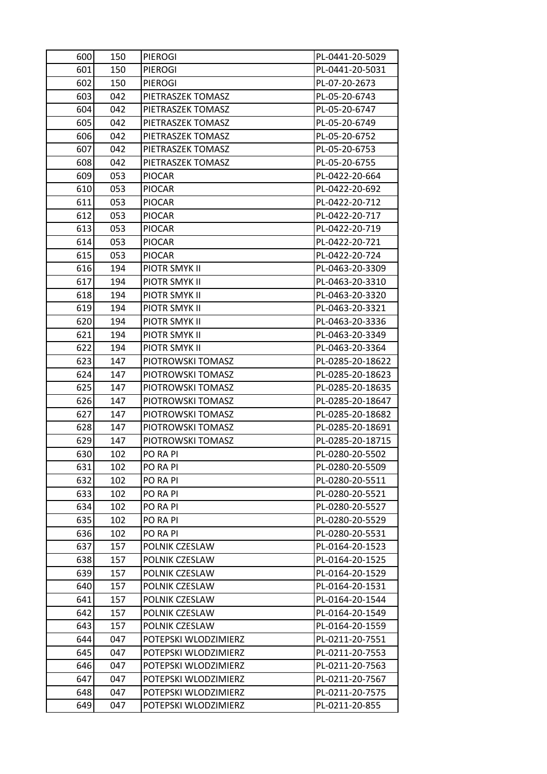| 600 | 150 | <b>PIEROGI</b>        | PL-0441-20-5029  |
|-----|-----|-----------------------|------------------|
| 601 | 150 | <b>PIEROGI</b>        | PL-0441-20-5031  |
| 602 | 150 | <b>PIEROGI</b>        | PL-07-20-2673    |
| 603 | 042 | PIETRASZEK TOMASZ     | PL-05-20-6743    |
| 604 | 042 | PIETRASZEK TOMASZ     | PL-05-20-6747    |
| 605 | 042 | PIETRASZEK TOMASZ     | PL-05-20-6749    |
| 606 | 042 | PIETRASZEK TOMASZ     | PL-05-20-6752    |
| 607 | 042 | PIETRASZEK TOMASZ     | PL-05-20-6753    |
| 608 | 042 | PIETRASZEK TOMASZ     | PL-05-20-6755    |
| 609 | 053 | <b>PIOCAR</b>         | PL-0422-20-664   |
| 610 | 053 | <b>PIOCAR</b>         | PL-0422-20-692   |
| 611 | 053 | <b>PIOCAR</b>         | PL-0422-20-712   |
| 612 | 053 | <b>PIOCAR</b>         | PL-0422-20-717   |
| 613 | 053 | <b>PIOCAR</b>         | PL-0422-20-719   |
| 614 | 053 | <b>PIOCAR</b>         | PL-0422-20-721   |
| 615 | 053 | <b>PIOCAR</b>         | PL-0422-20-724   |
| 616 | 194 | PIOTR SMYK II         | PL-0463-20-3309  |
| 617 | 194 | PIOTR SMYK II         | PL-0463-20-3310  |
| 618 | 194 | PIOTR SMYK II         | PL-0463-20-3320  |
| 619 | 194 | <b>PIOTR SMYK II</b>  | PL-0463-20-3321  |
| 620 | 194 | PIOTR SMYK II         | PL-0463-20-3336  |
| 621 | 194 | PIOTR SMYK II         | PL-0463-20-3349  |
| 622 | 194 | <b>PIOTR SMYK II</b>  | PL-0463-20-3364  |
| 623 | 147 | PIOTROWSKI TOMASZ     | PL-0285-20-18622 |
| 624 | 147 | PIOTROWSKI TOMASZ     | PL-0285-20-18623 |
| 625 | 147 | PIOTROWSKI TOMASZ     | PL-0285-20-18635 |
| 626 | 147 | PIOTROWSKI TOMASZ     | PL-0285-20-18647 |
| 627 | 147 | PIOTROWSKI TOMASZ     | PL-0285-20-18682 |
| 628 | 147 | PIOTROWSKI TOMASZ     | PL-0285-20-18691 |
| 629 | 147 | PIOTROWSKI TOMASZ     | PL-0285-20-18715 |
| 630 | 102 | <b>PO RA PI</b>       | PL-0280-20-5502  |
| 631 | 102 | PO RA PI              | PL-0280-20-5509  |
| 632 | 102 | PO RA PI              | PL-0280-20-5511  |
| 633 | 102 | PO RA PI              | PL-0280-20-5521  |
| 634 | 102 | <b>PO RA PI</b>       | PL-0280-20-5527  |
| 635 | 102 | PO RA PI              | PL-0280-20-5529  |
| 636 | 102 | PO RA PI              | PL-0280-20-5531  |
| 637 | 157 | <b>POLNIK CZESLAW</b> | PL-0164-20-1523  |
| 638 | 157 | POLNIK CZESLAW        | PL-0164-20-1525  |
| 639 | 157 | POLNIK CZESLAW        | PL-0164-20-1529  |
| 640 | 157 | POLNIK CZESLAW        | PL-0164-20-1531  |
| 641 | 157 | POLNIK CZESLAW        | PL-0164-20-1544  |
| 642 | 157 | <b>POLNIK CZESLAW</b> | PL-0164-20-1549  |
| 643 | 157 | POLNIK CZESLAW        | PL-0164-20-1559  |
| 644 | 047 | POTEPSKI WLODZIMIERZ  | PL-0211-20-7551  |
| 645 | 047 | POTEPSKI WLODZIMIERZ  | PL-0211-20-7553  |
| 646 | 047 | POTEPSKI WLODZIMIERZ  | PL-0211-20-7563  |
| 647 | 047 | POTEPSKI WLODZIMIERZ  | PL-0211-20-7567  |
| 648 | 047 | POTEPSKI WLODZIMIERZ  | PL-0211-20-7575  |
| 649 | 047 | POTEPSKI WLODZIMIERZ  | PL-0211-20-855   |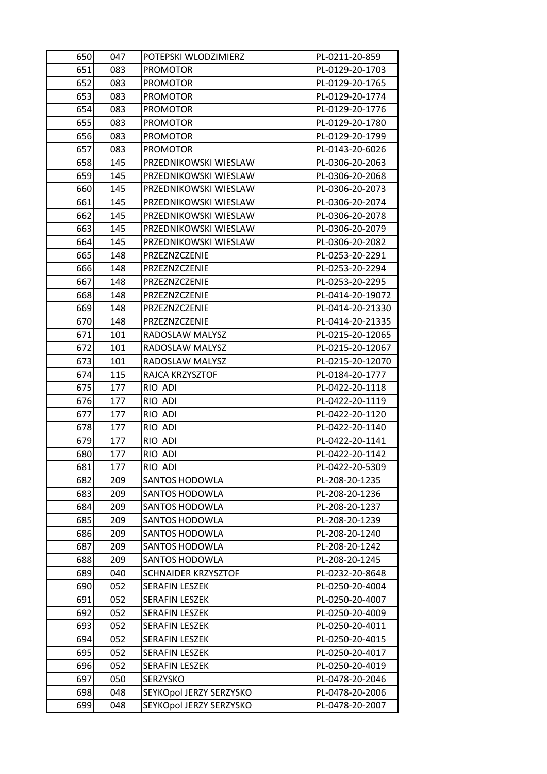| 650 | 047 | POTEPSKI WLODZIMIERZ    | PL-0211-20-859   |
|-----|-----|-------------------------|------------------|
| 651 | 083 | <b>PROMOTOR</b>         | PL-0129-20-1703  |
| 652 | 083 | <b>PROMOTOR</b>         | PL-0129-20-1765  |
| 653 | 083 | <b>PROMOTOR</b>         | PL-0129-20-1774  |
| 654 | 083 | <b>PROMOTOR</b>         | PL-0129-20-1776  |
| 655 | 083 | <b>PROMOTOR</b>         | PL-0129-20-1780  |
| 656 | 083 | <b>PROMOTOR</b>         | PL-0129-20-1799  |
| 657 | 083 | <b>PROMOTOR</b>         | PL-0143-20-6026  |
| 658 | 145 | PRZEDNIKOWSKI WIESLAW   | PL-0306-20-2063  |
| 659 | 145 | PRZEDNIKOWSKI WIESLAW   | PL-0306-20-2068  |
| 660 | 145 | PRZEDNIKOWSKI WIESLAW   | PL-0306-20-2073  |
| 661 | 145 | PRZEDNIKOWSKI WIESLAW   | PL-0306-20-2074  |
| 662 | 145 | PRZEDNIKOWSKI WIESLAW   | PL-0306-20-2078  |
| 663 | 145 | PRZEDNIKOWSKI WIESLAW   | PL-0306-20-2079  |
| 664 | 145 | PRZEDNIKOWSKI WIESLAW   | PL-0306-20-2082  |
| 665 | 148 | PRZEZNZCZENIE           | PL-0253-20-2291  |
| 666 | 148 | PRZEZNZCZENIE           | PL-0253-20-2294  |
| 667 | 148 | PRZEZNZCZENIE           | PL-0253-20-2295  |
| 668 | 148 | PRZEZNZCZENIE           | PL-0414-20-19072 |
| 669 | 148 | PRZEZNZCZENIE           | PL-0414-20-21330 |
| 670 | 148 | PRZEZNZCZENIE           | PL-0414-20-21335 |
| 671 | 101 | RADOSLAW MALYSZ         | PL-0215-20-12065 |
| 672 | 101 | RADOSLAW MALYSZ         | PL-0215-20-12067 |
| 673 | 101 | RADOSLAW MALYSZ         | PL-0215-20-12070 |
| 674 | 115 | RAJCA KRZYSZTOF         | PL-0184-20-1777  |
| 675 | 177 | RIO ADI                 | PL-0422-20-1118  |
| 676 | 177 | RIO ADI                 | PL-0422-20-1119  |
| 677 | 177 | RIO ADI                 | PL-0422-20-1120  |
| 678 | 177 | RIO ADI                 | PL-0422-20-1140  |
| 679 | 177 | RIO ADI                 | PL-0422-20-1141  |
| 680 | 177 | RIO ADI                 | PL-0422-20-1142  |
| 681 | 177 | RIO ADI                 | PL-0422-20-5309  |
| 682 | 209 | <b>SANTOS HODOWLA</b>   | PL-208-20-1235   |
| 683 | 209 | <b>SANTOS HODOWLA</b>   | PL-208-20-1236   |
| 684 | 209 | <b>SANTOS HODOWLA</b>   | PL-208-20-1237   |
| 685 | 209 | <b>SANTOS HODOWLA</b>   | PL-208-20-1239   |
| 686 | 209 | <b>SANTOS HODOWLA</b>   | PL-208-20-1240   |
| 687 | 209 | <b>SANTOS HODOWLA</b>   | PL-208-20-1242   |
| 688 | 209 | <b>SANTOS HODOWLA</b>   | PL-208-20-1245   |
| 689 | 040 | SCHNAIDER KRZYSZTOF     | PL-0232-20-8648  |
| 690 | 052 | <b>SERAFIN LESZEK</b>   | PL-0250-20-4004  |
| 691 | 052 | <b>SERAFIN LESZEK</b>   | PL-0250-20-4007  |
| 692 | 052 | <b>SERAFIN LESZEK</b>   | PL-0250-20-4009  |
| 693 | 052 | <b>SERAFIN LESZEK</b>   | PL-0250-20-4011  |
| 694 | 052 | <b>SERAFIN LESZEK</b>   | PL-0250-20-4015  |
| 695 | 052 | <b>SERAFIN LESZEK</b>   | PL-0250-20-4017  |
| 696 | 052 | <b>SERAFIN LESZEK</b>   | PL-0250-20-4019  |
| 697 | 050 | <b>SERZYSKO</b>         | PL-0478-20-2046  |
| 698 | 048 | SEYKOpol JERZY SERZYSKO | PL-0478-20-2006  |
| 699 | 048 | SEYKOpol JERZY SERZYSKO | PL-0478-20-2007  |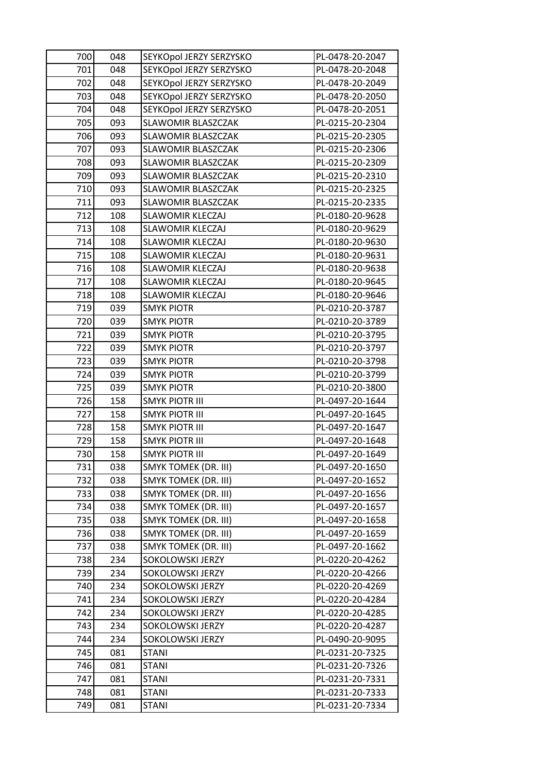| 700 | 048 | SEYKOpol JERZY SERZYSKO     | PL-0478-20-2047 |
|-----|-----|-----------------------------|-----------------|
| 701 | 048 | SEYKOpol JERZY SERZYSKO     | PL-0478-20-2048 |
| 702 | 048 | SEYKOpol JERZY SERZYSKO     | PL-0478-20-2049 |
| 703 | 048 | SEYKOpol JERZY SERZYSKO     | PL-0478-20-2050 |
| 704 | 048 | SEYKOpol JERZY SERZYSKO     | PL-0478-20-2051 |
| 705 | 093 | SLAWOMIR BLASZCZAK          | PL-0215-20-2304 |
| 706 | 093 | SLAWOMIR BLASZCZAK          | PL-0215-20-2305 |
| 707 | 093 | <b>SLAWOMIR BLASZCZAK</b>   | PL-0215-20-2306 |
| 708 | 093 | <b>SLAWOMIR BLASZCZAK</b>   | PL-0215-20-2309 |
| 709 | 093 | SLAWOMIR BLASZCZAK          | PL-0215-20-2310 |
| 710 | 093 | <b>SLAWOMIR BLASZCZAK</b>   | PL-0215-20-2325 |
| 711 | 093 | SLAWOMIR BLASZCZAK          | PL-0215-20-2335 |
| 712 | 108 | <b>SLAWOMIR KLECZAJ</b>     | PL-0180-20-9628 |
| 713 | 108 | SLAWOMIR KLECZAJ            | PL-0180-20-9629 |
| 714 | 108 | <b>SLAWOMIR KLECZAJ</b>     | PL-0180-20-9630 |
| 715 | 108 | <b>SLAWOMIR KLECZAJ</b>     | PL-0180-20-9631 |
| 716 | 108 | SLAWOMIR KLECZAJ            | PL-0180-20-9638 |
| 717 | 108 | <b>SLAWOMIR KLECZAJ</b>     | PL-0180-20-9645 |
| 718 | 108 | <b>SLAWOMIR KLECZAJ</b>     | PL-0180-20-9646 |
| 719 | 039 | <b>SMYK PIOTR</b>           | PL-0210-20-3787 |
| 720 | 039 | <b>SMYK PIOTR</b>           | PL-0210-20-3789 |
| 721 | 039 | <b>SMYK PIOTR</b>           | PL-0210-20-3795 |
| 722 | 039 | <b>SMYK PIOTR</b>           | PL-0210-20-3797 |
| 723 | 039 | <b>SMYK PIOTR</b>           | PL-0210-20-3798 |
| 724 | 039 | <b>SMYK PIOTR</b>           | PL-0210-20-3799 |
| 725 | 039 | <b>SMYK PIOTR</b>           | PL-0210-20-3800 |
| 726 | 158 | <b>SMYK PIOTR III</b>       | PL-0497-20-1644 |
| 727 | 158 | <b>SMYK PIOTR III</b>       | PL-0497-20-1645 |
| 728 | 158 | <b>SMYK PIOTR III</b>       | PL-0497-20-1647 |
| 729 | 158 | <b>SMYK PIOTR III</b>       | PL-0497-20-1648 |
| 730 | 158 | <b>SMYK PIOTR III</b>       | PL-0497-20-1649 |
| 731 | 038 | <b>SMYK TOMEK (DR. III)</b> | PL-0497-20-1650 |
| 732 | 038 | <b>SMYK TOMEK (DR. III)</b> | PL-0497-20-1652 |
| 733 | 038 | <b>SMYK TOMEK (DR. III)</b> | PL-0497-20-1656 |
| 734 | 038 | <b>SMYK TOMEK (DR. III)</b> | PL-0497-20-1657 |
| 735 | 038 | <b>SMYK TOMEK (DR. III)</b> | PL-0497-20-1658 |
| 736 | 038 | <b>SMYK TOMEK (DR. III)</b> | PL-0497-20-1659 |
| 737 | 038 | <b>SMYK TOMEK (DR. III)</b> | PL-0497-20-1662 |
| 738 | 234 | SOKOLOWSKI JERZY            | PL-0220-20-4262 |
| 739 | 234 | SOKOLOWSKI JERZY            | PL-0220-20-4266 |
| 740 | 234 | SOKOLOWSKI JERZY            | PL-0220-20-4269 |
| 741 | 234 | SOKOLOWSKI JERZY            | PL-0220-20-4284 |
| 742 | 234 | SOKOLOWSKI JERZY            | PL-0220-20-4285 |
| 743 | 234 | SOKOLOWSKI JERZY            | PL-0220-20-4287 |
| 744 | 234 | SOKOLOWSKI JERZY            | PL-0490-20-9095 |
| 745 | 081 | <b>STANI</b>                | PL-0231-20-7325 |
| 746 | 081 | STANI                       | PL-0231-20-7326 |
| 747 | 081 | <b>STANI</b>                | PL-0231-20-7331 |
| 748 | 081 | <b>STANI</b>                | PL-0231-20-7333 |
| 749 | 081 | STANI                       | PL-0231-20-7334 |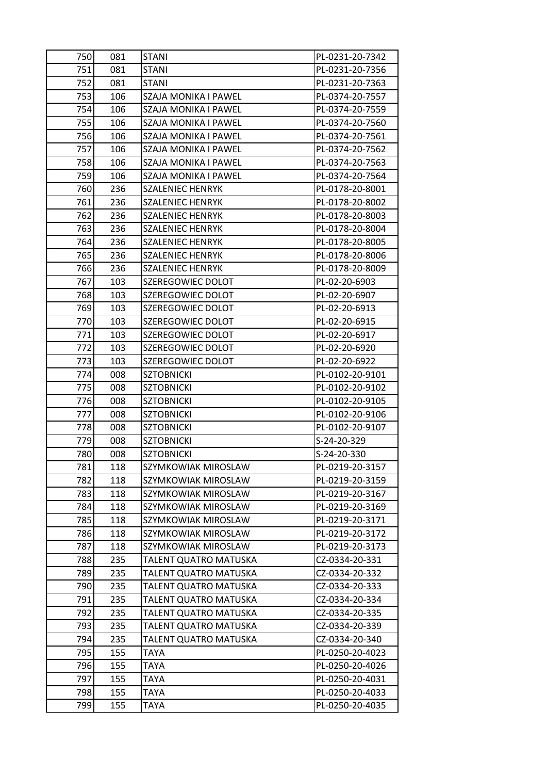| 750<br>751 | 081<br>081 | <b>STANI</b><br><b>STANI</b> | PL-0231-20-7342<br>PL-0231-20-7356 |
|------------|------------|------------------------------|------------------------------------|
| 752        | 081        | <b>STANI</b>                 | PL-0231-20-7363                    |
| 753        | 106        | <b>SZAJA MONIKA I PAWEL</b>  | PL-0374-20-7557                    |
| 754        | 106        | SZAJA MONIKA I PAWEL         | PL-0374-20-7559                    |
| 755        | 106        | SZAJA MONIKA I PAWEL         | PL-0374-20-7560                    |
| 756        | 106        | SZAJA MONIKA I PAWEL         | PL-0374-20-7561                    |
| 757        | 106        | SZAJA MONIKA I PAWEL         | PL-0374-20-7562                    |
| 758        | 106        | SZAJA MONIKA I PAWEL         | PL-0374-20-7563                    |
| 759        | 106        | SZAJA MONIKA I PAWEL         | PL-0374-20-7564                    |
| 760        | 236        | <b>SZALENIEC HENRYK</b>      | PL-0178-20-8001                    |
| 761        | 236        | <b>SZALENIEC HENRYK</b>      | PL-0178-20-8002                    |
| 762        | 236        | <b>SZALENIEC HENRYK</b>      | PL-0178-20-8003                    |
| 763        | 236        | <b>SZALENIEC HENRYK</b>      | PL-0178-20-8004                    |
| 764        | 236        | <b>SZALENIEC HENRYK</b>      | PL-0178-20-8005                    |
| 765        | 236        | <b>SZALENIEC HENRYK</b>      | PL-0178-20-8006                    |
| 766        | 236        | <b>SZALENIEC HENRYK</b>      | PL-0178-20-8009                    |
| 767        | 103        | SZEREGOWIEC DOLOT            | PL-02-20-6903                      |
| 768        | 103        | SZEREGOWIEC DOLOT            | PL-02-20-6907                      |
| 769        | 103        | SZEREGOWIEC DOLOT            | PL-02-20-6913                      |
| 770        | 103        | SZEREGOWIEC DOLOT            | PL-02-20-6915                      |
| 771        | 103        | SZEREGOWIEC DOLOT            | PL-02-20-6917                      |
| 772        | 103        | SZEREGOWIEC DOLOT            | PL-02-20-6920                      |
| 773        | 103        | SZEREGOWIEC DOLOT            | PL-02-20-6922                      |
| 774        | 008        | <b>SZTOBNICKI</b>            | PL-0102-20-9101                    |
| 775        | 008        | <b>SZTOBNICKI</b>            | PL-0102-20-9102                    |
| 776        | 008        | <b>SZTOBNICKI</b>            | PL-0102-20-9105                    |
| 777        | 008        | <b>SZTOBNICKI</b>            | PL-0102-20-9106                    |
| 778        | 008        | <b>SZTOBNICKI</b>            | PL-0102-20-9107                    |
| 779        | 008        | <b>SZTOBNICKI</b>            | S-24-20-329                        |
| 780        | 008        | <b>SZTOBNICKI</b>            | S-24-20-330                        |
| 781        | 118        | SZYMKOWIAK MIROSLAW          | PL-0219-20-3157                    |
| 782        | 118        | SZYMKOWIAK MIROSLAW          | PL-0219-20-3159                    |
| 783        | 118        | SZYMKOWIAK MIROSLAW          | PL-0219-20-3167                    |
| 784        | 118        | SZYMKOWIAK MIROSLAW          | PL-0219-20-3169                    |
| 785        | 118        | SZYMKOWIAK MIROSLAW          | PL-0219-20-3171                    |
| 786        | 118        | SZYMKOWIAK MIROSLAW          | PL-0219-20-3172                    |
| 787        | 118        | SZYMKOWIAK MIROSLAW          | PL-0219-20-3173                    |
| 788        | 235        | TALENT QUATRO MATUSKA        | CZ-0334-20-331                     |
| 789        | 235        | TALENT QUATRO MATUSKA        | CZ-0334-20-332                     |
| 790        | 235        | TALENT QUATRO MATUSKA        | CZ-0334-20-333                     |
| 791        | 235        | TALENT QUATRO MATUSKA        | CZ-0334-20-334                     |
| 792        | 235        | TALENT QUATRO MATUSKA        | CZ-0334-20-335                     |
| 793        | 235        | TALENT QUATRO MATUSKA        | CZ-0334-20-339                     |
| 794        | 235        | TALENT QUATRO MATUSKA        | CZ-0334-20-340                     |
| 795        | 155        | <b>TAYA</b>                  | PL-0250-20-4023                    |
| 796        | 155        | <b>TAYA</b>                  | PL-0250-20-4026                    |
| 797        | 155        | TAYA                         | PL-0250-20-4031                    |
| 798        | 155        | <b>TAYA</b>                  | PL-0250-20-4033                    |
| 799        | 155        | TAYA                         | PL-0250-20-4035                    |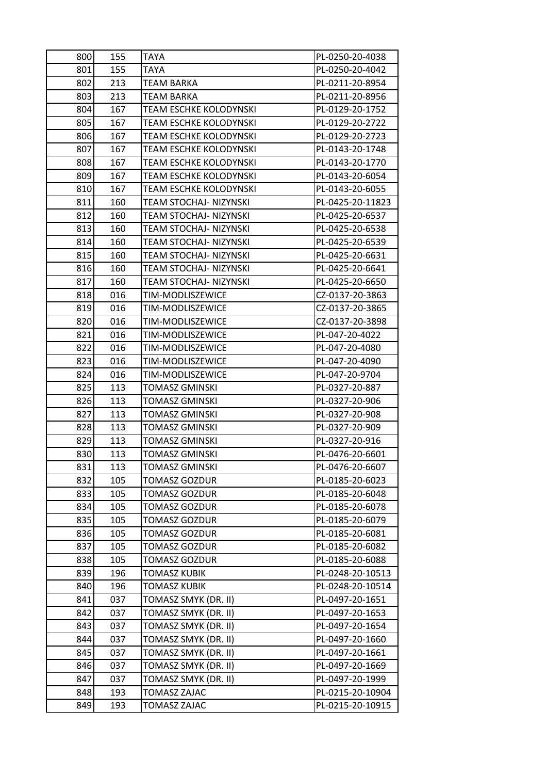| 800 | 155 | <b>TAYA</b>                   | PL-0250-20-4038  |
|-----|-----|-------------------------------|------------------|
| 801 | 155 | TAYA                          | PL-0250-20-4042  |
| 802 | 213 | TEAM BARKA                    | PL-0211-20-8954  |
| 803 | 213 | <b>TEAM BARKA</b>             | PL-0211-20-8956  |
| 804 | 167 | TEAM ESCHKE KOLODYNSKI        | PL-0129-20-1752  |
| 805 | 167 | TEAM ESCHKE KOLODYNSKI        | PL-0129-20-2722  |
| 806 | 167 | TEAM ESCHKE KOLODYNSKI        | PL-0129-20-2723  |
| 807 | 167 | <b>TEAM ESCHKE KOLODYNSKI</b> | PL-0143-20-1748  |
| 808 | 167 | <b>TEAM ESCHKE KOLODYNSKI</b> | PL-0143-20-1770  |
| 809 | 167 | TEAM ESCHKE KOLODYNSKI        | PL-0143-20-6054  |
| 810 | 167 | TEAM ESCHKE KOLODYNSKI        | PL-0143-20-6055  |
| 811 | 160 | TEAM STOCHAJ- NIZYNSKI        | PL-0425-20-11823 |
| 812 | 160 | TEAM STOCHAJ- NIZYNSKI        | PL-0425-20-6537  |
| 813 | 160 | <b>TEAM STOCHAJ- NIZYNSKI</b> | PL-0425-20-6538  |
| 814 | 160 | TEAM STOCHAJ- NIZYNSKI        | PL-0425-20-6539  |
| 815 | 160 | TEAM STOCHAJ- NIZYNSKI        | PL-0425-20-6631  |
| 816 | 160 | TEAM STOCHAJ- NIZYNSKI        | PL-0425-20-6641  |
| 817 | 160 | TEAM STOCHAJ- NIZYNSKI        | PL-0425-20-6650  |
| 818 | 016 | TIM-MODLISZEWICE              | CZ-0137-20-3863  |
| 819 | 016 | TIM-MODLISZEWICE              | CZ-0137-20-3865  |
| 820 | 016 | TIM-MODLISZEWICE              | CZ-0137-20-3898  |
| 821 | 016 | TIM-MODLISZEWICE              | PL-047-20-4022   |
| 822 | 016 | TIM-MODLISZEWICE              | PL-047-20-4080   |
| 823 | 016 | TIM-MODLISZEWICE              | PL-047-20-4090   |
| 824 | 016 | TIM-MODLISZEWICE              | PL-047-20-9704   |
| 825 | 113 | <b>TOMASZ GMINSKI</b>         | PL-0327-20-887   |
| 826 | 113 | TOMASZ GMINSKI                | PL-0327-20-906   |
| 827 | 113 | <b>TOMASZ GMINSKI</b>         | PL-0327-20-908   |
| 828 | 113 | <b>TOMASZ GMINSKI</b>         | PL-0327-20-909   |
| 829 | 113 | TOMASZ GMINSKI                | PL-0327-20-916   |
| 830 | 113 | <b>TOMASZ GMINSKI</b>         | PL-0476-20-6601  |
| 831 | 113 | <b>TOMASZ GMINSKI</b>         | PL-0476-20-6607  |
| 832 | 105 | <b>TOMASZ GOZDUR</b>          | PL-0185-20-6023  |
| 833 | 105 | <b>TOMASZ GOZDUR</b>          | PL-0185-20-6048  |
| 834 | 105 | <b>TOMASZ GOZDUR</b>          | PL-0185-20-6078  |
| 835 | 105 | <b>TOMASZ GOZDUR</b>          | PL-0185-20-6079  |
| 836 | 105 | TOMASZ GOZDUR                 | PL-0185-20-6081  |
| 837 | 105 | <b>TOMASZ GOZDUR</b>          | PL-0185-20-6082  |
| 838 | 105 | <b>TOMASZ GOZDUR</b>          | PL-0185-20-6088  |
| 839 | 196 | <b>TOMASZ KUBIK</b>           | PL-0248-20-10513 |
| 840 | 196 | <b>TOMASZ KUBIK</b>           | PL-0248-20-10514 |
| 841 | 037 | TOMASZ SMYK (DR. II)          | PL-0497-20-1651  |
| 842 | 037 | TOMASZ SMYK (DR. II)          | PL-0497-20-1653  |
| 843 | 037 | TOMASZ SMYK (DR. II)          | PL-0497-20-1654  |
| 844 | 037 | TOMASZ SMYK (DR. II)          | PL-0497-20-1660  |
| 845 | 037 | TOMASZ SMYK (DR. II)          | PL-0497-20-1661  |
| 846 | 037 | TOMASZ SMYK (DR. II)          | PL-0497-20-1669  |
| 847 | 037 | TOMASZ SMYK (DR. II)          | PL-0497-20-1999  |
| 848 | 193 | TOMASZ ZAJAC                  | PL-0215-20-10904 |
| 849 | 193 | <b>TOMASZ ZAJAC</b>           | PL-0215-20-10915 |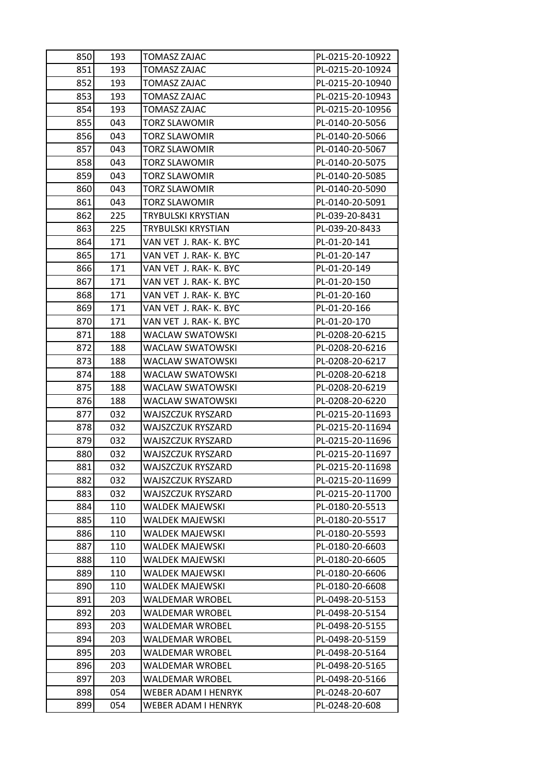| 850 | 193 | <b>TOMASZ ZAJAC</b>    | PL-0215-20-10922 |
|-----|-----|------------------------|------------------|
| 851 | 193 | TOMASZ ZAJAC           | PL-0215-20-10924 |
| 852 | 193 | TOMASZ ZAJAC           | PL-0215-20-10940 |
| 853 | 193 | TOMASZ ZAJAC           | PL-0215-20-10943 |
| 854 | 193 | TOMASZ ZAJAC           | PL-0215-20-10956 |
| 855 | 043 | <b>TORZ SLAWOMIR</b>   | PL-0140-20-5056  |
| 856 | 043 | TORZ SLAWOMIR          | PL-0140-20-5066  |
| 857 | 043 | TORZ SLAWOMIR          | PL-0140-20-5067  |
| 858 | 043 | TORZ SLAWOMIR          | PL-0140-20-5075  |
| 859 | 043 | TORZ SLAWOMIR          | PL-0140-20-5085  |
| 860 | 043 | TORZ SLAWOMIR          | PL-0140-20-5090  |
| 861 | 043 | TORZ SLAWOMIR          | PL-0140-20-5091  |
| 862 | 225 | TRYBULSKI KRYSTIAN     | PL-039-20-8431   |
| 863 | 225 | TRYBULSKI KRYSTIAN     | PL-039-20-8433   |
| 864 | 171 | VAN VET J. RAK- K. BYC | PL-01-20-141     |
| 865 | 171 | VAN VET J. RAK- K. BYC | PL-01-20-147     |
| 866 | 171 | VAN VET J. RAK-K. BYC  | PL-01-20-149     |
| 867 | 171 | VAN VET J. RAK- K. BYC | PL-01-20-150     |
| 868 | 171 | VAN VET J. RAK- K. BYC | PL-01-20-160     |
| 869 | 171 | VAN VET J. RAK- K. BYC | PL-01-20-166     |
| 870 | 171 | VAN VET J. RAK- K. BYC | PL-01-20-170     |
| 871 | 188 | WACLAW SWATOWSKI       | PL-0208-20-6215  |
| 872 | 188 | WACLAW SWATOWSKI       | PL-0208-20-6216  |
| 873 | 188 | WACLAW SWATOWSKI       | PL-0208-20-6217  |
| 874 | 188 | WACLAW SWATOWSKI       | PL-0208-20-6218  |
| 875 | 188 | WACLAW SWATOWSKI       | PL-0208-20-6219  |
| 876 | 188 | WACLAW SWATOWSKI       | PL-0208-20-6220  |
| 877 | 032 | WAJSZCZUK RYSZARD      | PL-0215-20-11693 |
| 878 | 032 | WAJSZCZUK RYSZARD      | PL-0215-20-11694 |
| 879 | 032 | WAJSZCZUK RYSZARD      | PL-0215-20-11696 |
| 880 | 032 | WAJSZCZUK RYSZARD      | PL-0215-20-11697 |
| 881 | 032 | WAJSZCZUK RYSZARD      | PL-0215-20-11698 |
| 882 | 032 | WAJSZCZUK RYSZARD      | PL-0215-20-11699 |
| 883 | 032 | WAJSZCZUK RYSZARD      | PL-0215-20-11700 |
| 884 | 110 | WALDEK MAJEWSKI        | PL-0180-20-5513  |
| 885 | 110 | <b>WALDEK MAJEWSKI</b> | PL-0180-20-5517  |
| 886 | 110 | WALDEK MAJEWSKI        | PL-0180-20-5593  |
| 887 | 110 | WALDEK MAJEWSKI        | PL-0180-20-6603  |
| 888 | 110 | WALDEK MAJEWSKI        | PL-0180-20-6605  |
| 889 | 110 | WALDEK MAJEWSKI        | PL-0180-20-6606  |
| 890 | 110 | <b>WALDEK MAJEWSKI</b> | PL-0180-20-6608  |
| 891 | 203 | WALDEMAR WROBEL        | PL-0498-20-5153  |
| 892 | 203 | WALDEMAR WROBEL        | PL-0498-20-5154  |
| 893 | 203 | WALDEMAR WROBEL        | PL-0498-20-5155  |
| 894 | 203 | WALDEMAR WROBEL        | PL-0498-20-5159  |
| 895 | 203 | <b>WALDEMAR WROBEL</b> | PL-0498-20-5164  |
| 896 | 203 | WALDEMAR WROBEL        | PL-0498-20-5165  |
| 897 | 203 | WALDEMAR WROBEL        | PL-0498-20-5166  |
| 898 | 054 | WEBER ADAM I HENRYK    | PL-0248-20-607   |
| 899 | 054 | WEBER ADAM I HENRYK    | PL-0248-20-608   |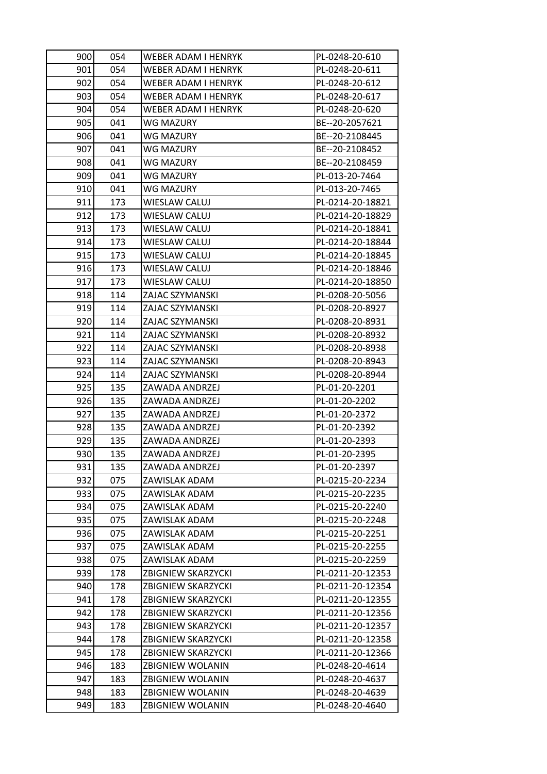| 900        | 054        | WEBER ADAM I HENRYK                  | PL-0248-20-610                     |
|------------|------------|--------------------------------------|------------------------------------|
| 901        | 054        | WEBER ADAM I HENRYK                  | PL-0248-20-611                     |
| 902        | 054        | WEBER ADAM I HENRYK                  | PL-0248-20-612                     |
| 903        | 054        | WEBER ADAM I HENRYK                  | PL-0248-20-617                     |
| 904        | 054        | WEBER ADAM I HENRYK                  | PL-0248-20-620                     |
| 905        | 041        | WG MAZURY                            | BE--20-2057621                     |
| 906        | 041        | WG MAZURY                            | BE--20-2108445                     |
| 907        | 041        | <b>WG MAZURY</b>                     | BE--20-2108452                     |
| 908        | 041        | WG MAZURY                            | BE--20-2108459                     |
| 909        | 041        | WG MAZURY                            | PL-013-20-7464                     |
| 910        | 041        | WG MAZURY                            | PL-013-20-7465                     |
| 911        | 173        | WIESLAW CALUJ                        | PL-0214-20-18821                   |
| 912        | 173        | <b>WIESLAW CALUJ</b>                 | PL-0214-20-18829                   |
| 913        | 173        | WIESLAW CALUJ                        | PL-0214-20-18841                   |
| 914        | 173        | WIESLAW CALUJ                        | PL-0214-20-18844                   |
| 915        | 173        | <b>WIESLAW CALUJ</b>                 | PL-0214-20-18845                   |
| 916        | 173        | <b>WIESLAW CALUJ</b>                 | PL-0214-20-18846                   |
| 917        | 173        | WIESLAW CALUJ                        | PL-0214-20-18850                   |
| 918        | 114        | ZAJAC SZYMANSKI                      | PL-0208-20-5056                    |
| 919        | 114        | ZAJAC SZYMANSKI                      | PL-0208-20-8927                    |
| 920        | 114        | ZAJAC SZYMANSKI                      | PL-0208-20-8931                    |
| 921        | 114        | ZAJAC SZYMANSKI                      | PL-0208-20-8932                    |
| 922        | 114        | ZAJAC SZYMANSKI                      | PL-0208-20-8938                    |
| 923        | 114        | ZAJAC SZYMANSKI                      | PL-0208-20-8943                    |
| 924        | 114        | ZAJAC SZYMANSKI                      | PL-0208-20-8944                    |
|            |            |                                      |                                    |
| 925        | 135        | ZAWADA ANDRZEJ                       | PL-01-20-2201                      |
| 926        | 135        | ZAWADA ANDRZEJ                       | PL-01-20-2202                      |
| 927        | 135        | ZAWADA ANDRZEJ                       | PL-01-20-2372                      |
| 928        | 135        | ZAWADA ANDRZEJ                       | PL-01-20-2392                      |
| 929        | 135        | ZAWADA ANDRZEJ                       | PL-01-20-2393                      |
| 930        | 135        | ZAWADA ANDRZEJ                       | PL-01-20-2395                      |
| 931        | 135        | ZAWADA ANDRZEJ                       | PL-01-20-2397                      |
| 932        | 075        | ZAWISLAK ADAM                        | PL-0215-20-2234                    |
| 933        | 075        | ZAWISLAK ADAM                        | PL-0215-20-2235                    |
| 934        | 075        | ZAWISLAK ADAM                        | PL-0215-20-2240                    |
| 935        | 075        | ZAWISLAK ADAM                        | PL-0215-20-2248                    |
| 936        | 075        | ZAWISLAK ADAM                        | PL-0215-20-2251                    |
| 937        | 075        | ZAWISLAK ADAM                        | PL-0215-20-2255                    |
| 938        | 075        | ZAWISLAK ADAM                        | PL-0215-20-2259                    |
| 939        | 178        | <b>ZBIGNIEW SKARZYCKI</b>            | PL-0211-20-12353                   |
| 940        | 178        | ZBIGNIEW SKARZYCKI                   | PL-0211-20-12354                   |
| 941        | 178        | ZBIGNIEW SKARZYCKI                   | PL-0211-20-12355                   |
| 942        | 178        | ZBIGNIEW SKARZYCKI                   | PL-0211-20-12356                   |
| 943        | 178        | ZBIGNIEW SKARZYCKI                   | PL-0211-20-12357                   |
| 944        | 178        | ZBIGNIEW SKARZYCKI                   | PL-0211-20-12358                   |
| 945        | 178        | <b>ZBIGNIEW SKARZYCKI</b>            | PL-0211-20-12366                   |
| 946        | 183        | <b>ZBIGNIEW WOLANIN</b>              | PL-0248-20-4614                    |
| 947        | 183        | ZBIGNIEW WOLANIN                     | PL-0248-20-4637                    |
| 948<br>949 | 183<br>183 | ZBIGNIEW WOLANIN<br>ZBIGNIEW WOLANIN | PL-0248-20-4639<br>PL-0248-20-4640 |